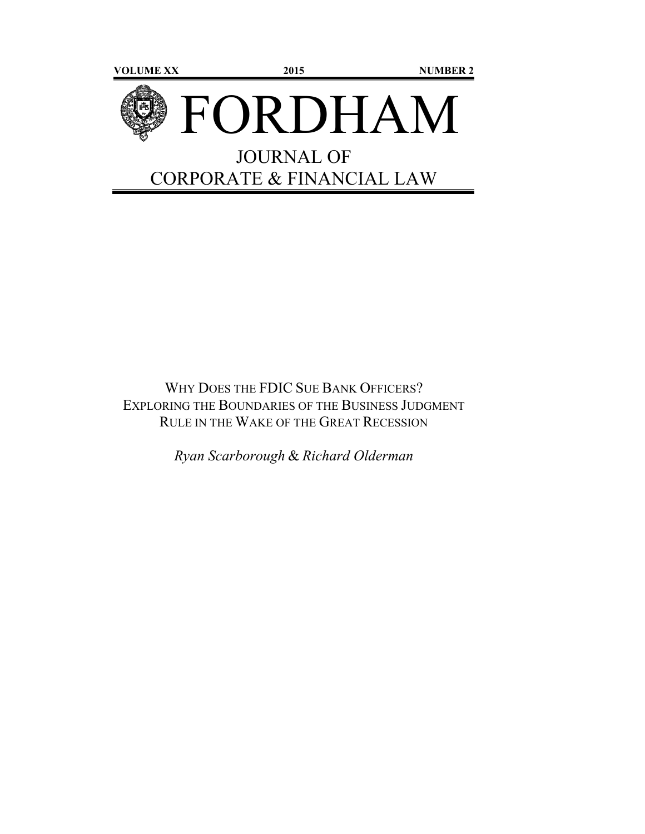

WHY DOES THE FDIC SUE BANK OFFICERS? EXPLORING THE BOUNDARIES OF THE BUSINESS JUDGMENT RULE IN THE WAKE OF THE GREAT RECESSION

*Ryan Scarborough* & *Richard Olderman*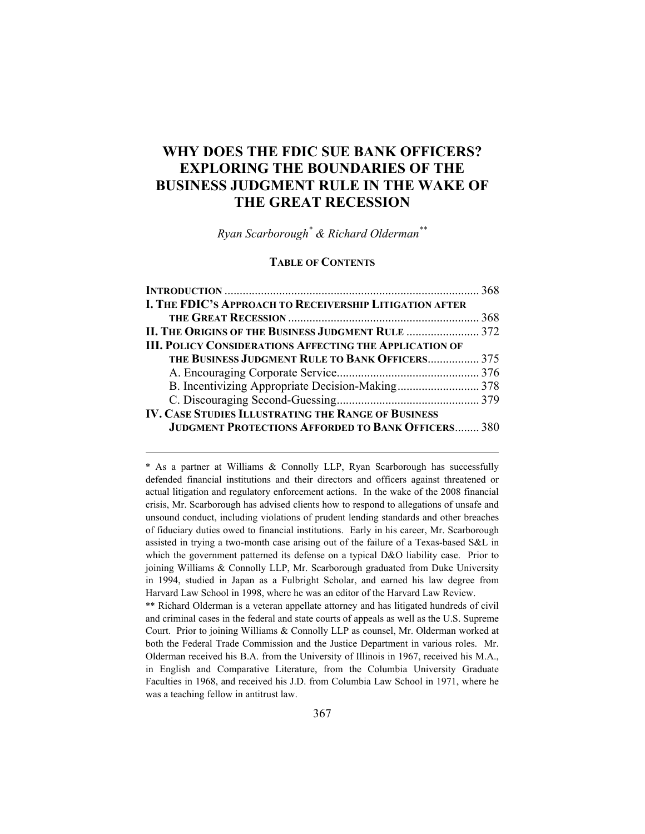# **WHY DOES THE FDIC SUE BANK OFFICERS? EXPLORING THE BOUNDARIES OF THE BUSINESS JUDGMENT RULE IN THE WAKE OF THE GREAT RECESSION**

*Ryan Scarborough\* & Richard Olderman\*\**

#### **TABLE OF CONTENTS**

| I. THE FDIC'S APPROACH TO RECEIVERSHIP LITIGATION AFTER        |  |
|----------------------------------------------------------------|--|
|                                                                |  |
| II. THE ORIGINS OF THE BUSINESS JUDGMENT RULE  372             |  |
| <b>III. POLICY CONSIDERATIONS AFFECTING THE APPLICATION OF</b> |  |
| THE BUSINESS JUDGMENT RULE TO BANK OFFICERS 375                |  |
|                                                                |  |
|                                                                |  |
|                                                                |  |
| <b>IV. CASE STUDIES ILLUSTRATING THE RANGE OF BUSINESS</b>     |  |
| <b>JUDGMENT PROTECTIONS AFFORDED TO BANK OFFICERS 380</b>      |  |

\* As a partner at Williams & Connolly LLP, Ryan Scarborough has successfully defended financial institutions and their directors and officers against threatened or actual litigation and regulatory enforcement actions. In the wake of the 2008 financial crisis, Mr. Scarborough has advised clients how to respond to allegations of unsafe and unsound conduct, including violations of prudent lending standards and other breaches of fiduciary duties owed to financial institutions. Early in his career, Mr. Scarborough assisted in trying a two-month case arising out of the failure of a Texas-based S&L in which the government patterned its defense on a typical D&O liability case. Prior to joining Williams & Connolly LLP, Mr. Scarborough graduated from Duke University in 1994, studied in Japan as a Fulbright Scholar, and earned his law degree from Harvard Law School in 1998, where he was an editor of the Harvard Law Review.

 $\overline{a}$ 

\*\* Richard Olderman is a veteran appellate attorney and has litigated hundreds of civil and criminal cases in the federal and state courts of appeals as well as the U.S. Supreme Court. Prior to joining Williams & Connolly LLP as counsel, Mr. Olderman worked at both the Federal Trade Commission and the Justice Department in various roles. Mr. Olderman received his B.A. from the University of Illinois in 1967, received his M.A., in English and Comparative Literature, from the Columbia University Graduate Faculties in 1968, and received his J.D. from Columbia Law School in 1971, where he was a teaching fellow in antitrust law.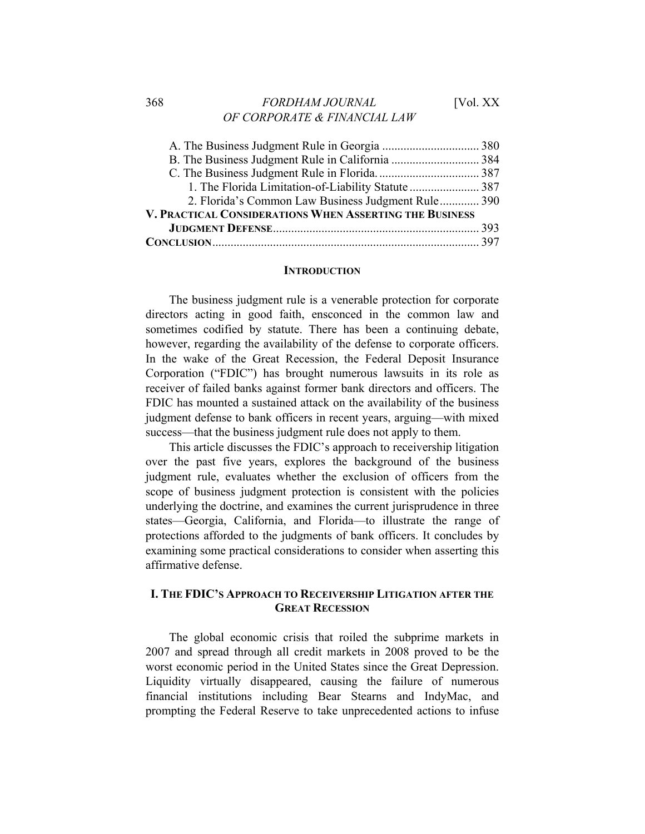## 368 *FORDHAM JOURNAL* [Vol. XX *OF CORPORATE & FINANCIAL LAW*

| 1. The Florida Limitation-of-Liability Statute  387     |  |
|---------------------------------------------------------|--|
| 2. Florida's Common Law Business Judgment Rule 390      |  |
| V. PRACTICAL CONSIDERATIONS WHEN ASSERTING THE BUSINESS |  |
|                                                         |  |
|                                                         |  |

#### **INTRODUCTION**

The business judgment rule is a venerable protection for corporate directors acting in good faith, ensconced in the common law and sometimes codified by statute. There has been a continuing debate, however, regarding the availability of the defense to corporate officers. In the wake of the Great Recession, the Federal Deposit Insurance Corporation ("FDIC") has brought numerous lawsuits in its role as receiver of failed banks against former bank directors and officers. The FDIC has mounted a sustained attack on the availability of the business judgment defense to bank officers in recent years, arguing—with mixed success—that the business judgment rule does not apply to them.

This article discusses the FDIC's approach to receivership litigation over the past five years, explores the background of the business judgment rule, evaluates whether the exclusion of officers from the scope of business judgment protection is consistent with the policies underlying the doctrine, and examines the current jurisprudence in three states—Georgia, California, and Florida—to illustrate the range of protections afforded to the judgments of bank officers. It concludes by examining some practical considerations to consider when asserting this affirmative defense.

# **I. THE FDIC'S APPROACH TO RECEIVERSHIP LITIGATION AFTER THE GREAT RECESSION**

The global economic crisis that roiled the subprime markets in 2007 and spread through all credit markets in 2008 proved to be the worst economic period in the United States since the Great Depression. Liquidity virtually disappeared, causing the failure of numerous financial institutions including Bear Stearns and IndyMac, and prompting the Federal Reserve to take unprecedented actions to infuse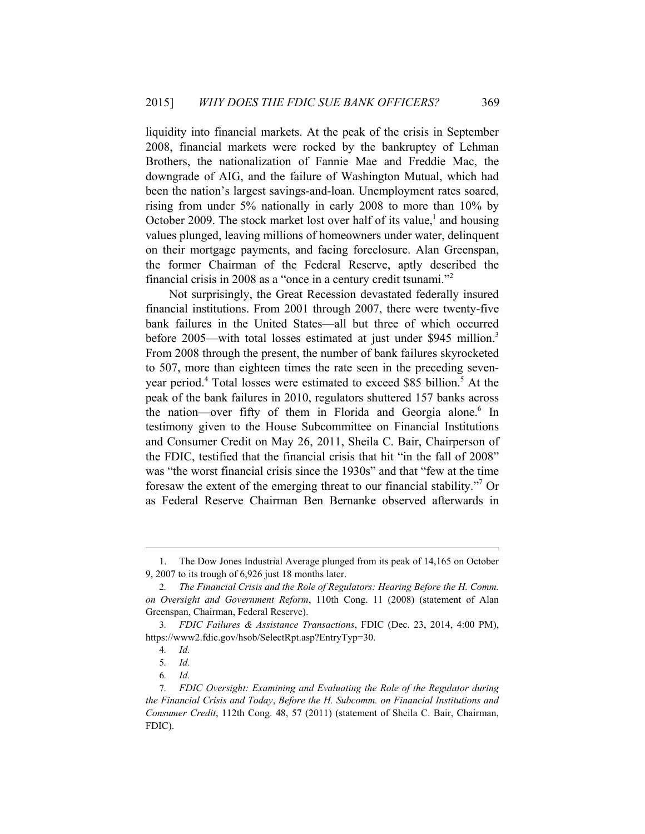liquidity into financial markets. At the peak of the crisis in September 2008, financial markets were rocked by the bankruptcy of Lehman Brothers, the nationalization of Fannie Mae and Freddie Mac, the downgrade of AIG, and the failure of Washington Mutual, which had been the nation's largest savings-and-loan. Unemployment rates soared, rising from under 5% nationally in early 2008 to more than 10% by October 2009. The stock market lost over half of its value, $<sup>1</sup>$  and housing</sup> values plunged, leaving millions of homeowners under water, delinquent on their mortgage payments, and facing foreclosure. Alan Greenspan, the former Chairman of the Federal Reserve, aptly described the financial crisis in 2008 as a "once in a century credit tsunami."<sup>2</sup>

Not surprisingly, the Great Recession devastated federally insured financial institutions. From 2001 through 2007, there were twenty-five bank failures in the United States—all but three of which occurred before 2005—with total losses estimated at just under \$945 million.<sup>3</sup> From 2008 through the present, the number of bank failures skyrocketed to 507, more than eighteen times the rate seen in the preceding sevenyear period.<sup>4</sup> Total losses were estimated to exceed \$85 billion.<sup>5</sup> At the peak of the bank failures in 2010, regulators shuttered 157 banks across the nation—over fifty of them in Florida and Georgia alone.<sup>6</sup> In testimony given to the House Subcommittee on Financial Institutions and Consumer Credit on May 26, 2011, Sheila C. Bair, Chairperson of the FDIC, testified that the financial crisis that hit "in the fall of 2008" was "the worst financial crisis since the 1930s" and that "few at the time foresaw the extent of the emerging threat to our financial stability."7 Or as Federal Reserve Chairman Ben Bernanke observed afterwards in

<sup>1.</sup> The Dow Jones Industrial Average plunged from its peak of 14,165 on October 9, 2007 to its trough of 6,926 just 18 months later.

<sup>2</sup>*. The Financial Crisis and the Role of Regulators: Hearing Before the H. Comm. on Oversight and Government Reform*, 110th Cong. 11 (2008) (statement of Alan Greenspan, Chairman, Federal Reserve).

<sup>3</sup>*. FDIC Failures & Assistance Transactions*, FDIC (Dec. 23, 2014, 4:00 PM), https://www2.fdic.gov/hsob/SelectRpt.asp?EntryTyp=30.

<sup>4</sup>*. Id.*

<sup>5</sup>*. Id.*

<sup>6</sup>*. Id.*

<sup>7</sup>*. FDIC Oversight: Examining and Evaluating the Role of the Regulator during the Financial Crisis and Today*, *Before the H. Subcomm. on Financial Institutions and Consumer Credit*, 112th Cong. 48, 57 (2011) (statement of Sheila C. Bair, Chairman, FDIC).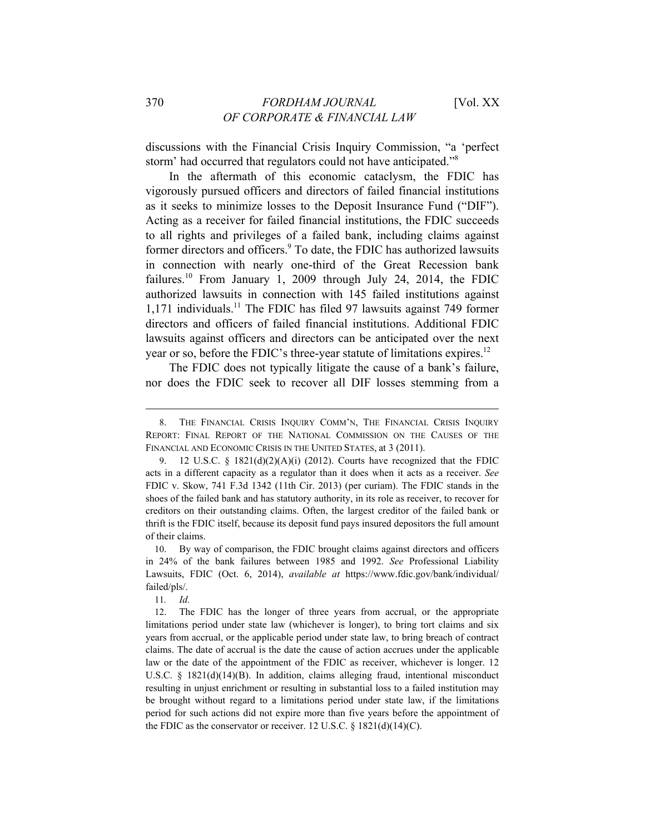discussions with the Financial Crisis Inquiry Commission, "a 'perfect storm' had occurred that regulators could not have anticipated."8

In the aftermath of this economic cataclysm, the FDIC has vigorously pursued officers and directors of failed financial institutions as it seeks to minimize losses to the Deposit Insurance Fund ("DIF"). Acting as a receiver for failed financial institutions, the FDIC succeeds to all rights and privileges of a failed bank, including claims against former directors and officers.<sup>9</sup> To date, the FDIC has authorized lawsuits in connection with nearly one-third of the Great Recession bank failures.<sup>10</sup> From January 1, 2009 through July 24, 2014, the FDIC authorized lawsuits in connection with 145 failed institutions against  $1,171$  individuals.<sup>11</sup> The FDIC has filed 97 lawsuits against 749 former directors and officers of failed financial institutions. Additional FDIC lawsuits against officers and directors can be anticipated over the next year or so, before the FDIC's three-year statute of limitations expires.<sup>12</sup>

The FDIC does not typically litigate the cause of a bank's failure, nor does the FDIC seek to recover all DIF losses stemming from a

11*. Id.*

<sup>8.</sup> THE FINANCIAL CRISIS INQUIRY COMM'N, THE FINANCIAL CRISIS INQUIRY REPORT: FINAL REPORT OF THE NATIONAL COMMISSION ON THE CAUSES OF THE FINANCIAL AND ECONOMIC CRISIS IN THE UNITED STATES, at 3 (2011).

<sup>9. 12</sup> U.S.C. §  $1821(d)(2)(A)(i)$  (2012). Courts have recognized that the FDIC acts in a different capacity as a regulator than it does when it acts as a receiver. *See*  FDIC v. Skow, 741 F.3d 1342 (11th Cir. 2013) (per curiam). The FDIC stands in the shoes of the failed bank and has statutory authority, in its role as receiver, to recover for creditors on their outstanding claims. Often, the largest creditor of the failed bank or thrift is the FDIC itself, because its deposit fund pays insured depositors the full amount of their claims.

<sup>10.</sup> By way of comparison, the FDIC brought claims against directors and officers in 24% of the bank failures between 1985 and 1992. *See* Professional Liability Lawsuits, FDIC (Oct. 6, 2014), *available at* https://www.fdic.gov/bank/individual/ failed/pls/.

<sup>12.</sup> The FDIC has the longer of three years from accrual, or the appropriate limitations period under state law (whichever is longer), to bring tort claims and six years from accrual, or the applicable period under state law, to bring breach of contract claims. The date of accrual is the date the cause of action accrues under the applicable law or the date of the appointment of the FDIC as receiver, whichever is longer. 12 U.S.C.  $\S$  1821(d)(14)(B). In addition, claims alleging fraud, intentional misconduct resulting in unjust enrichment or resulting in substantial loss to a failed institution may be brought without regard to a limitations period under state law, if the limitations period for such actions did not expire more than five years before the appointment of the FDIC as the conservator or receiver. 12 U.S.C. § 1821(d)(14)(C).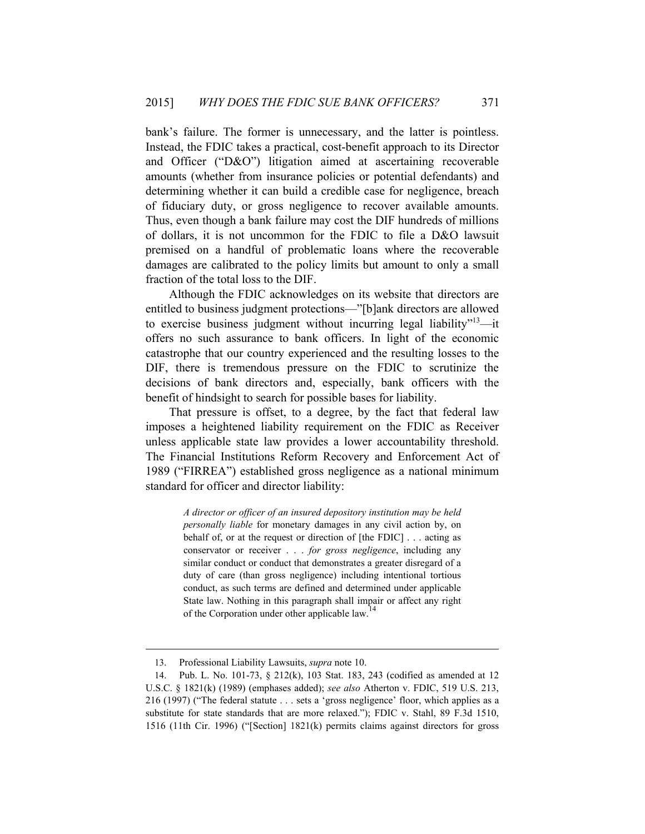bank's failure. The former is unnecessary, and the latter is pointless. Instead, the FDIC takes a practical, cost-benefit approach to its Director and Officer ("D&O") litigation aimed at ascertaining recoverable amounts (whether from insurance policies or potential defendants) and determining whether it can build a credible case for negligence, breach of fiduciary duty, or gross negligence to recover available amounts. Thus, even though a bank failure may cost the DIF hundreds of millions of dollars, it is not uncommon for the FDIC to file a D&O lawsuit premised on a handful of problematic loans where the recoverable damages are calibrated to the policy limits but amount to only a small fraction of the total loss to the DIF.

Although the FDIC acknowledges on its website that directors are entitled to business judgment protections—"[b]ank directors are allowed to exercise business judgment without incurring legal liability $13$ —it offers no such assurance to bank officers. In light of the economic catastrophe that our country experienced and the resulting losses to the DIF, there is tremendous pressure on the FDIC to scrutinize the decisions of bank directors and, especially, bank officers with the benefit of hindsight to search for possible bases for liability.

That pressure is offset, to a degree, by the fact that federal law imposes a heightened liability requirement on the FDIC as Receiver unless applicable state law provides a lower accountability threshold. The Financial Institutions Reform Recovery and Enforcement Act of 1989 ("FIRREA") established gross negligence as a national minimum standard for officer and director liability:

> *A director or officer of an insured depository institution may be held personally liable* for monetary damages in any civil action by, on behalf of, or at the request or direction of [the FDIC] . . . acting as conservator or receiver . . . *for gross negligence*, including any similar conduct or conduct that demonstrates a greater disregard of a duty of care (than gross negligence) including intentional tortious conduct, as such terms are defined and determined under applicable State law. Nothing in this paragraph shall impair or affect any right of the Corporation under other applicable law.

<sup>13.</sup> Professional Liability Lawsuits, *supra* note 10.

<sup>14.</sup> Pub. L. No. 101-73, § 212(k), 103 Stat. 183, 243 (codified as amended at 12 U.S.C. § 1821(k) (1989) (emphases added); *see also* Atherton v. FDIC, 519 U.S. 213, 216 (1997) ("The federal statute . . . sets a 'gross negligence' floor, which applies as a substitute for state standards that are more relaxed."); FDIC v. Stahl, 89 F.3d 1510, 1516 (11th Cir. 1996) ("[Section] 1821(k) permits claims against directors for gross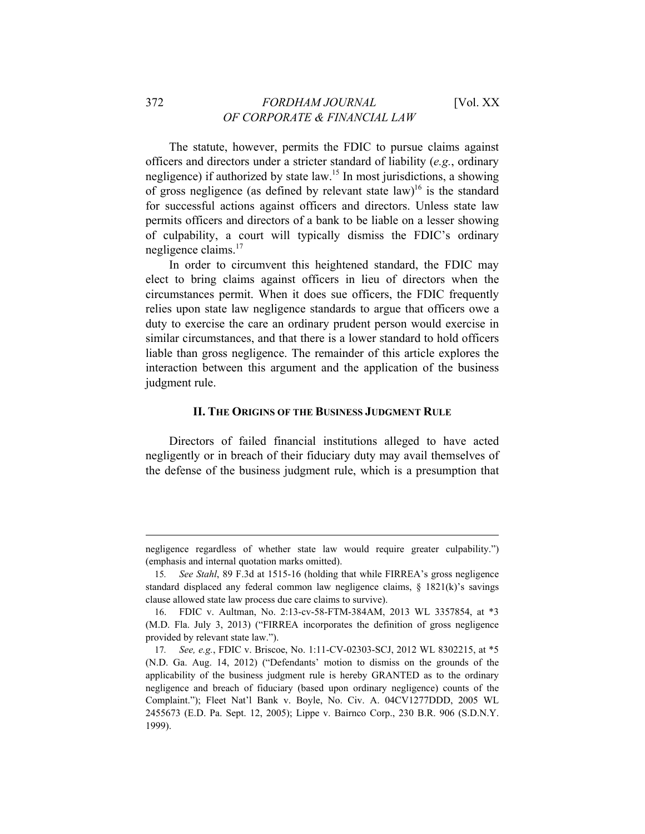The statute, however, permits the FDIC to pursue claims against officers and directors under a stricter standard of liability (*e.g.*, ordinary negligence) if authorized by state  $law<sup>15</sup>$  In most jurisdictions, a showing of gross negligence (as defined by relevant state law)<sup>16</sup> is the standard for successful actions against officers and directors. Unless state law permits officers and directors of a bank to be liable on a lesser showing of culpability, a court will typically dismiss the FDIC's ordinary negligence claims.<sup>17</sup>

In order to circumvent this heightened standard, the FDIC may elect to bring claims against officers in lieu of directors when the circumstances permit. When it does sue officers, the FDIC frequently relies upon state law negligence standards to argue that officers owe a duty to exercise the care an ordinary prudent person would exercise in similar circumstances, and that there is a lower standard to hold officers liable than gross negligence. The remainder of this article explores the interaction between this argument and the application of the business judgment rule.

#### **II. THE ORIGINS OF THE BUSINESS JUDGMENT RULE**

Directors of failed financial institutions alleged to have acted negligently or in breach of their fiduciary duty may avail themselves of the defense of the business judgment rule, which is a presumption that

negligence regardless of whether state law would require greater culpability.") (emphasis and internal quotation marks omitted).

<sup>15</sup>*. See Stahl*, 89 F.3d at 1515-16 (holding that while FIRREA's gross negligence standard displaced any federal common law negligence claims,  $\S$  1821(k)'s savings clause allowed state law process due care claims to survive).

<sup>16.</sup> FDIC v. Aultman, No. 2:13-cv-58-FTM-384AM, 2013 WL 3357854, at \*3 (M.D. Fla. July 3, 2013) ("FIRREA incorporates the definition of gross negligence provided by relevant state law.").

<sup>17</sup>*. See, e.g.*, FDIC v. Briscoe, No. 1:11-CV-02303-SCJ, 2012 WL 8302215, at \*5 (N.D. Ga. Aug. 14, 2012) ("Defendants' motion to dismiss on the grounds of the applicability of the business judgment rule is hereby GRANTED as to the ordinary negligence and breach of fiduciary (based upon ordinary negligence) counts of the Complaint."); Fleet Nat'l Bank v. Boyle, No. Civ. A. 04CV1277DDD, 2005 WL 2455673 (E.D. Pa. Sept. 12, 2005); Lippe v. Bairnco Corp., 230 B.R. 906 (S.D.N.Y. 1999).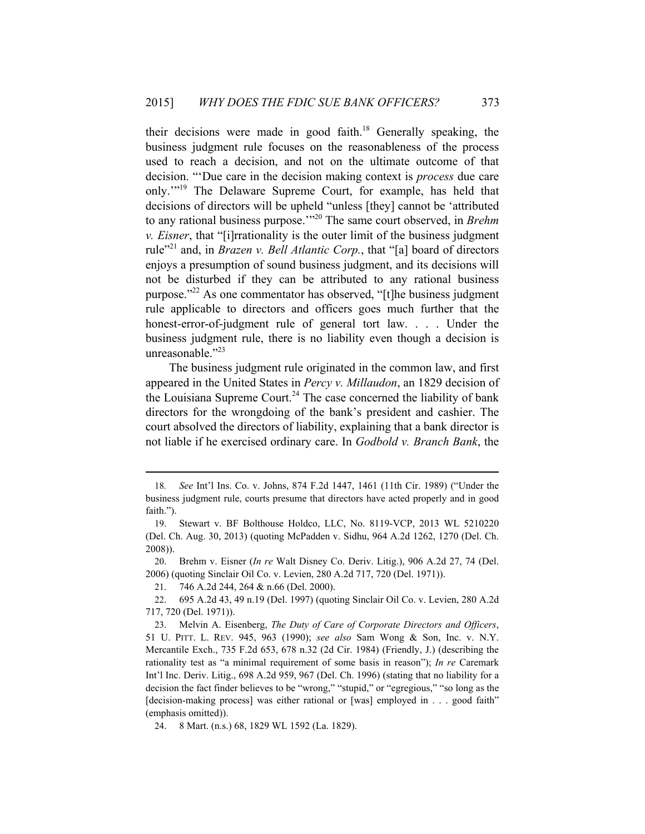their decisions were made in good faith.<sup>18</sup> Generally speaking, the business judgment rule focuses on the reasonableness of the process used to reach a decision, and not on the ultimate outcome of that decision. "'Due care in the decision making context is *process* due care only.'"19 The Delaware Supreme Court, for example, has held that decisions of directors will be upheld "unless [they] cannot be 'attributed to any rational business purpose.'"20 The same court observed, in *Brehm v. Eisner*, that "[i]rrationality is the outer limit of the business judgment rule"<sup>21</sup> and, in *Brazen v. Bell Atlantic Corp.*, that "[a] board of directors enjoys a presumption of sound business judgment, and its decisions will not be disturbed if they can be attributed to any rational business purpose."22 As one commentator has observed, "[t]he business judgment rule applicable to directors and officers goes much further that the honest-error-of-judgment rule of general tort law. . . . Under the business judgment rule, there is no liability even though a decision is unreasonable."<sup>23</sup>

The business judgment rule originated in the common law, and first appeared in the United States in *Percy v. Millaudon*, an 1829 decision of the Louisiana Supreme Court.<sup>24</sup> The case concerned the liability of bank directors for the wrongdoing of the bank's president and cashier. The court absolved the directors of liability, explaining that a bank director is not liable if he exercised ordinary care. In *Godbold v. Branch Bank*, the

<sup>18</sup>*. See* Int'l Ins. Co. v. Johns, 874 F.2d 1447, 1461 (11th Cir. 1989) ("Under the business judgment rule, courts presume that directors have acted properly and in good faith.").

<sup>19.</sup> Stewart v. BF Bolthouse Holdco, LLC, No. 8119-VCP, 2013 WL 5210220 (Del. Ch. Aug. 30, 2013) (quoting McPadden v. Sidhu, 964 A.2d 1262, 1270 (Del. Ch. 2008)).

<sup>20.</sup> Brehm v. Eisner (*In re* Walt Disney Co. Deriv. Litig.), 906 A.2d 27, 74 (Del. 2006) (quoting Sinclair Oil Co. v. Levien, 280 A.2d 717, 720 (Del. 1971)).

<sup>21. 746</sup> A.2d 244, 264 & n.66 (Del. 2000).

<sup>22. 695</sup> A.2d 43, 49 n.19 (Del. 1997) (quoting Sinclair Oil Co. v. Levien, 280 A.2d 717, 720 (Del. 1971)).

<sup>23.</sup> Melvin A. Eisenberg, *The Duty of Care of Corporate Directors and Officers*, 51 U. PITT. L. REV. 945, 963 (1990); *see also* Sam Wong & Son, Inc. v. N.Y. Mercantile Exch., 735 F.2d 653, 678 n.32 (2d Cir. 1984) (Friendly, J.) (describing the rationality test as "a minimal requirement of some basis in reason"); *In re* Caremark Int'l Inc. Deriv. Litig., 698 A.2d 959, 967 (Del. Ch. 1996) (stating that no liability for a decision the fact finder believes to be "wrong," "stupid," or "egregious," "so long as the [decision-making process] was either rational or [was] employed in . . . good faith" (emphasis omitted)).

<sup>24. 8</sup> Mart. (n.s.) 68, 1829 WL 1592 (La. 1829).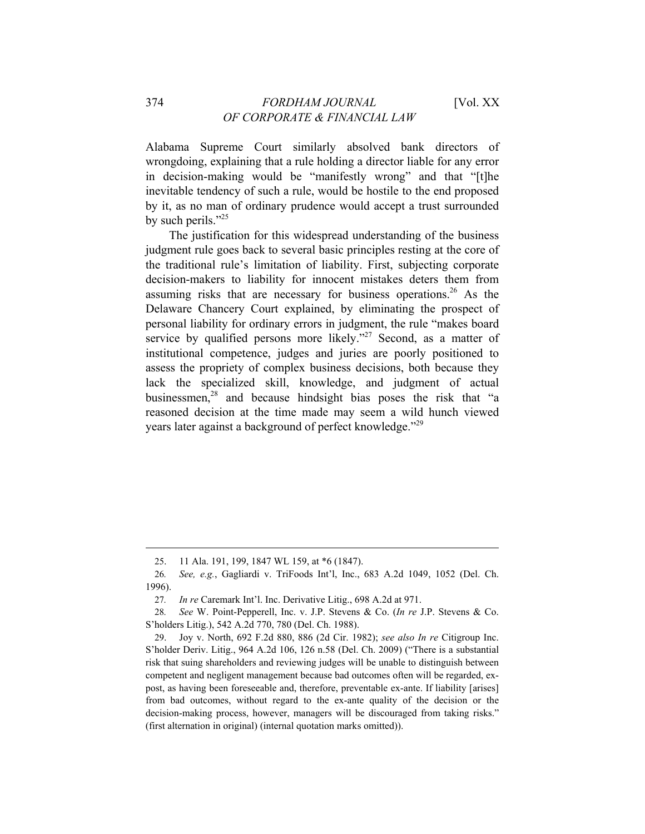Alabama Supreme Court similarly absolved bank directors of wrongdoing, explaining that a rule holding a director liable for any error in decision-making would be "manifestly wrong" and that "[t]he inevitable tendency of such a rule, would be hostile to the end proposed by it, as no man of ordinary prudence would accept a trust surrounded by such perils."<sup>25</sup>

The justification for this widespread understanding of the business judgment rule goes back to several basic principles resting at the core of the traditional rule's limitation of liability. First, subjecting corporate decision-makers to liability for innocent mistakes deters them from assuming risks that are necessary for business operations.<sup>26</sup> As the Delaware Chancery Court explained, by eliminating the prospect of personal liability for ordinary errors in judgment, the rule "makes board service by qualified persons more likely."<sup>27</sup> Second, as a matter of institutional competence, judges and juries are poorly positioned to assess the propriety of complex business decisions, both because they lack the specialized skill, knowledge, and judgment of actual businessmen, $28$  and because hindsight bias poses the risk that "a reasoned decision at the time made may seem a wild hunch viewed years later against a background of perfect knowledge."29

<sup>25. 11</sup> Ala. 191, 199, 1847 WL 159, at \*6 (1847).

<sup>26</sup>*. See, e.g.*, Gagliardi v. TriFoods Int'l, Inc., 683 A.2d 1049, 1052 (Del. Ch. 1996).

<sup>27</sup>*. In re* Caremark Int'l. Inc. Derivative Litig., 698 A.2d at 971.

<sup>28</sup>*. See* W. Point-Pepperell, Inc. v. J.P. Stevens & Co. (*In re* J.P. Stevens & Co. S'holders Litig.), 542 A.2d 770, 780 (Del. Ch. 1988).

<sup>29.</sup> Joy v. North, 692 F.2d 880, 886 (2d Cir. 1982); *see also In re* Citigroup Inc. S'holder Deriv. Litig., 964 A.2d 106, 126 n.58 (Del. Ch. 2009) ("There is a substantial risk that suing shareholders and reviewing judges will be unable to distinguish between competent and negligent management because bad outcomes often will be regarded, expost, as having been foreseeable and, therefore, preventable ex-ante. If liability [arises] from bad outcomes, without regard to the ex-ante quality of the decision or the decision-making process, however, managers will be discouraged from taking risks." (first alternation in original) (internal quotation marks omitted)).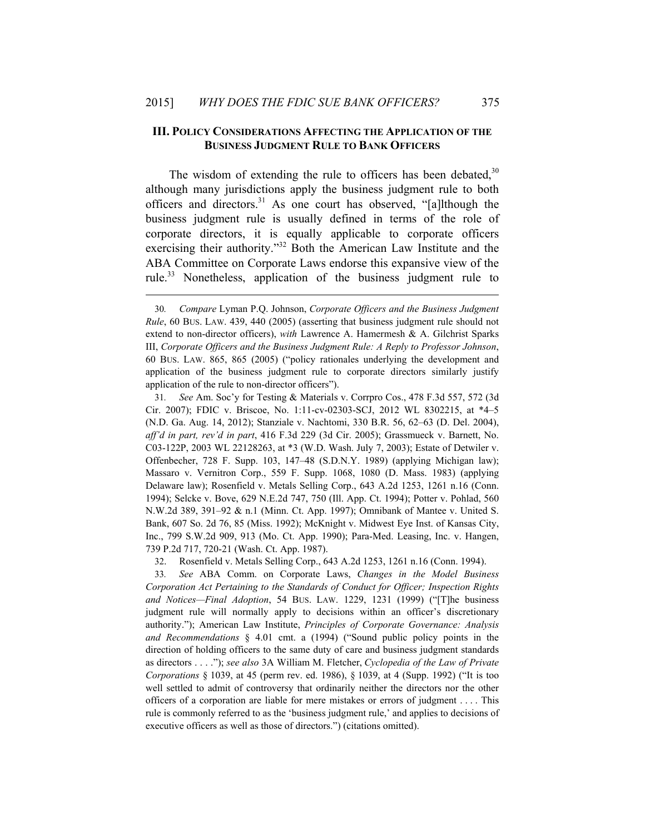$\overline{a}$ 

#### **III. POLICY CONSIDERATIONS AFFECTING THE APPLICATION OF THE BUSINESS JUDGMENT RULE TO BANK OFFICERS**

The wisdom of extending the rule to officers has been debated,  $30$ although many jurisdictions apply the business judgment rule to both officers and directors.<sup>31</sup> As one court has observed, "[a]lthough the business judgment rule is usually defined in terms of the role of corporate directors, it is equally applicable to corporate officers exercising their authority."<sup>32</sup> Both the American Law Institute and the ABA Committee on Corporate Laws endorse this expansive view of the rule.33 Nonetheless, application of the business judgment rule to

31*. See* Am. Soc'y for Testing & Materials v. Corrpro Cos., 478 F.3d 557, 572 (3d Cir. 2007); FDIC v. Briscoe, No. 1:11-cv-02303-SCJ, 2012 WL 8302215, at \*4–5 (N.D. Ga. Aug. 14, 2012); Stanziale v. Nachtomi, 330 B.R. 56, 62–63 (D. Del. 2004), *aff'd in part, rev'd in part*, 416 F.3d 229 (3d Cir. 2005); Grassmueck v. Barnett, No. C03-122P, 2003 WL 22128263, at \*3 (W.D. Wash. July 7, 2003); Estate of Detwiler v. Offenbecher, 728 F. Supp. 103, 147–48 (S.D.N.Y. 1989) (applying Michigan law); Massaro v. Vernitron Corp., 559 F. Supp. 1068, 1080 (D. Mass. 1983) (applying Delaware law); Rosenfield v. Metals Selling Corp., 643 A.2d 1253, 1261 n.16 (Conn. 1994); Selcke v. Bove, 629 N.E.2d 747, 750 (Ill. App. Ct. 1994); Potter v. Pohlad, 560 N.W.2d 389, 391–92 & n.1 (Minn. Ct. App. 1997); Omnibank of Mantee v. United S. Bank, 607 So. 2d 76, 85 (Miss. 1992); McKnight v. Midwest Eye Inst. of Kansas City, Inc., 799 S.W.2d 909, 913 (Mo. Ct. App. 1990); Para-Med. Leasing, Inc. v. Hangen, 739 P.2d 717, 720-21 (Wash. Ct. App. 1987).

32. Rosenfield v. Metals Selling Corp., 643 A.2d 1253, 1261 n.16 (Conn. 1994).

33*. See* ABA Comm. on Corporate Laws, *Changes in the Model Business Corporation Act Pertaining to the Standards of Conduct for Officer; Inspection Rights and Notices—Final Adoption*, 54 BUS. LAW. 1229, 1231 (1999) ("[T]he business judgment rule will normally apply to decisions within an officer's discretionary authority."); American Law Institute, *Principles of Corporate Governance: Analysis and Recommendations* § 4.01 cmt. a (1994) ("Sound public policy points in the direction of holding officers to the same duty of care and business judgment standards as directors . . . ."); *see also* 3A William M. Fletcher, *Cyclopedia of the Law of Private Corporations* § 1039, at 45 (perm rev. ed. 1986), § 1039, at 4 (Supp. 1992) ("It is too well settled to admit of controversy that ordinarily neither the directors nor the other officers of a corporation are liable for mere mistakes or errors of judgment . . . . This rule is commonly referred to as the 'business judgment rule,' and applies to decisions of executive officers as well as those of directors.") (citations omitted).

<sup>30</sup>*. Compare* Lyman P.Q. Johnson, *Corporate Officers and the Business Judgment Rule*, 60 BUS. LAW. 439, 440 (2005) (asserting that business judgment rule should not extend to non-director officers), *with* Lawrence A. Hamermesh & A. Gilchrist Sparks III, *Corporate Officers and the Business Judgment Rule: A Reply to Professor Johnson*, 60 BUS. LAW. 865, 865 (2005) ("policy rationales underlying the development and application of the business judgment rule to corporate directors similarly justify application of the rule to non-director officers").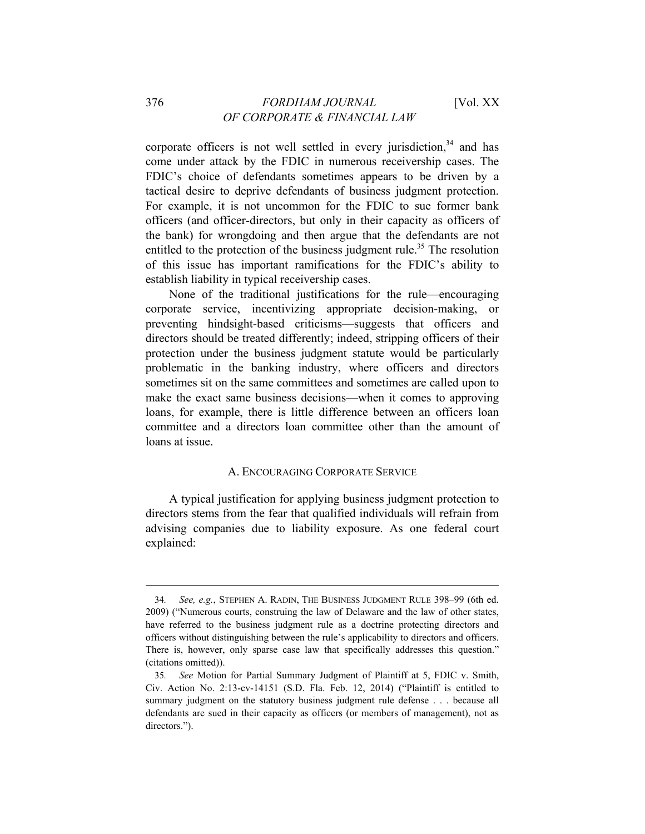## 376 *FORDHAM JOURNAL* [Vol. XX *OF CORPORATE & FINANCIAL LAW*

corporate officers is not well settled in every jurisdiction,  $34$  and has come under attack by the FDIC in numerous receivership cases. The FDIC's choice of defendants sometimes appears to be driven by a tactical desire to deprive defendants of business judgment protection. For example, it is not uncommon for the FDIC to sue former bank officers (and officer-directors, but only in their capacity as officers of the bank) for wrongdoing and then argue that the defendants are not entitled to the protection of the business judgment rule.<sup>35</sup> The resolution of this issue has important ramifications for the FDIC's ability to establish liability in typical receivership cases.

None of the traditional justifications for the rule—encouraging corporate service, incentivizing appropriate decision-making, or preventing hindsight-based criticisms—suggests that officers and directors should be treated differently; indeed, stripping officers of their protection under the business judgment statute would be particularly problematic in the banking industry, where officers and directors sometimes sit on the same committees and sometimes are called upon to make the exact same business decisions—when it comes to approving loans, for example, there is little difference between an officers loan committee and a directors loan committee other than the amount of loans at issue.

# A. ENCOURAGING CORPORATE SERVICE

A typical justification for applying business judgment protection to directors stems from the fear that qualified individuals will refrain from advising companies due to liability exposure. As one federal court explained:

<sup>34</sup>*. See, e.g.*, STEPHEN A. RADIN, THE BUSINESS JUDGMENT RULE 398–99 (6th ed. 2009) ("Numerous courts, construing the law of Delaware and the law of other states, have referred to the business judgment rule as a doctrine protecting directors and officers without distinguishing between the rule's applicability to directors and officers. There is, however, only sparse case law that specifically addresses this question." (citations omitted)).

<sup>35</sup>*. See* Motion for Partial Summary Judgment of Plaintiff at 5, FDIC v. Smith, Civ. Action No. 2:13-cv-14151 (S.D. Fla. Feb. 12, 2014) ("Plaintiff is entitled to summary judgment on the statutory business judgment rule defense . . . because all defendants are sued in their capacity as officers (or members of management), not as directors.").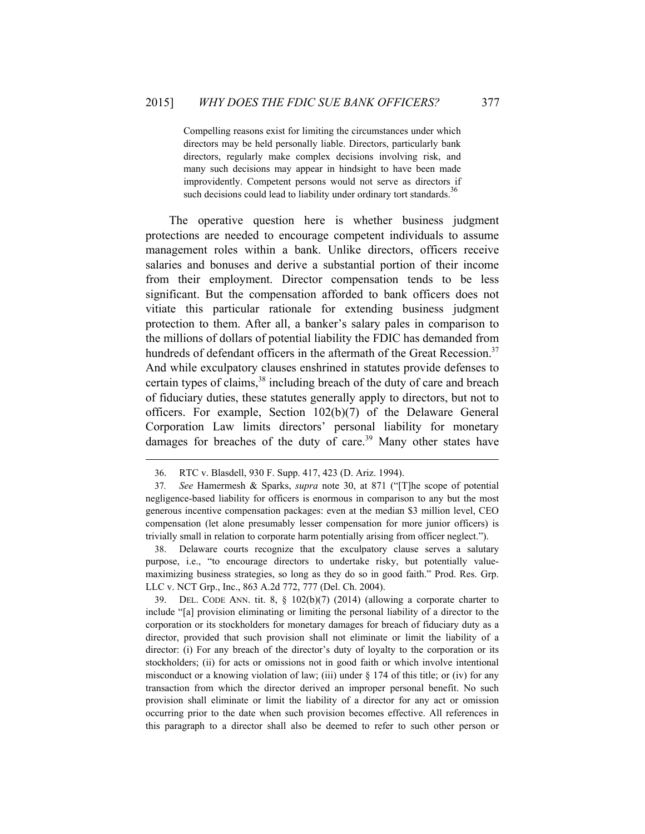Compelling reasons exist for limiting the circumstances under which directors may be held personally liable. Directors, particularly bank directors, regularly make complex decisions involving risk, and many such decisions may appear in hindsight to have been made improvidently. Competent persons would not serve as directors if such decisions could lead to liability under ordinary tort standards.<sup>36</sup>

The operative question here is whether business judgment protections are needed to encourage competent individuals to assume management roles within a bank. Unlike directors, officers receive salaries and bonuses and derive a substantial portion of their income from their employment. Director compensation tends to be less significant. But the compensation afforded to bank officers does not vitiate this particular rationale for extending business judgment protection to them. After all, a banker's salary pales in comparison to the millions of dollars of potential liability the FDIC has demanded from hundreds of defendant officers in the aftermath of the Great Recession.<sup>37</sup> And while exculpatory clauses enshrined in statutes provide defenses to certain types of claims,<sup>38</sup> including breach of the duty of care and breach of fiduciary duties, these statutes generally apply to directors, but not to officers. For example, Section 102(b)(7) of the Delaware General Corporation Law limits directors' personal liability for monetary damages for breaches of the duty of care.<sup>39</sup> Many other states have

 $\overline{a}$ 

38. Delaware courts recognize that the exculpatory clause serves a salutary purpose, i.e., "to encourage directors to undertake risky, but potentially valuemaximizing business strategies, so long as they do so in good faith." Prod. Res. Grp. LLC v. NCT Grp., Inc., 863 A.2d 772, 777 (Del. Ch. 2004).

39. DEL. CODE ANN. tit. 8, § 102(b)(7) (2014) (allowing a corporate charter to include "[a] provision eliminating or limiting the personal liability of a director to the corporation or its stockholders for monetary damages for breach of fiduciary duty as a director, provided that such provision shall not eliminate or limit the liability of a director: (i) For any breach of the director's duty of loyalty to the corporation or its stockholders; (ii) for acts or omissions not in good faith or which involve intentional misconduct or a knowing violation of law; (iii) under  $\S 174$  of this title; or (iv) for any transaction from which the director derived an improper personal benefit. No such provision shall eliminate or limit the liability of a director for any act or omission occurring prior to the date when such provision becomes effective. All references in this paragraph to a director shall also be deemed to refer to such other person or

<sup>36.</sup> RTC v. Blasdell, 930 F. Supp. 417, 423 (D. Ariz. 1994).

<sup>37</sup>*. See* Hamermesh & Sparks, *supra* note 30, at 871 ("[T]he scope of potential negligence-based liability for officers is enormous in comparison to any but the most generous incentive compensation packages: even at the median \$3 million level, CEO compensation (let alone presumably lesser compensation for more junior officers) is trivially small in relation to corporate harm potentially arising from officer neglect.").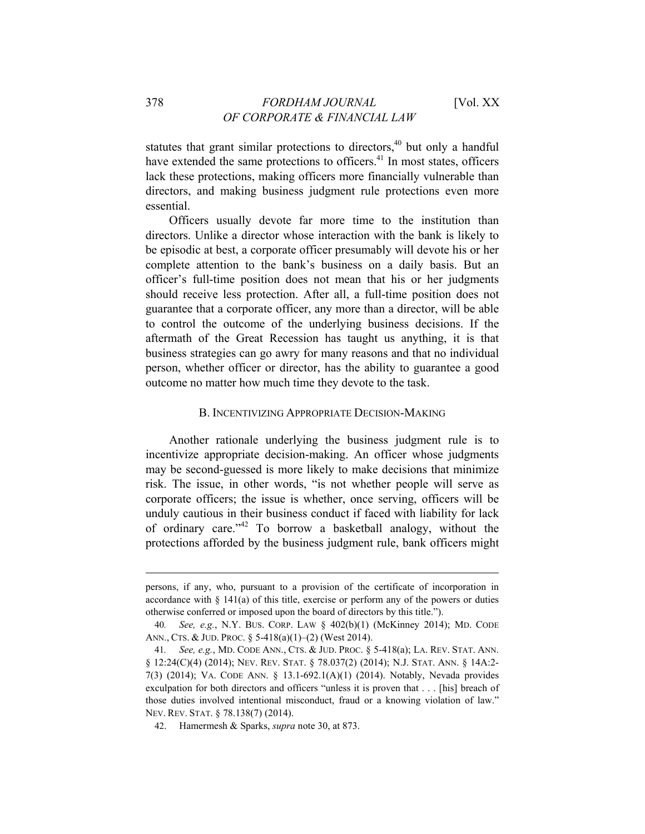statutes that grant similar protections to directors, $40$  but only a handful have extended the same protections to officers.<sup>41</sup> In most states, officers lack these protections, making officers more financially vulnerable than directors, and making business judgment rule protections even more essential.

Officers usually devote far more time to the institution than directors. Unlike a director whose interaction with the bank is likely to be episodic at best, a corporate officer presumably will devote his or her complete attention to the bank's business on a daily basis. But an officer's full-time position does not mean that his or her judgments should receive less protection. After all, a full-time position does not guarantee that a corporate officer, any more than a director, will be able to control the outcome of the underlying business decisions. If the aftermath of the Great Recession has taught us anything, it is that business strategies can go awry for many reasons and that no individual person, whether officer or director, has the ability to guarantee a good outcome no matter how much time they devote to the task.

## B. INCENTIVIZING APPROPRIATE DECISION-MAKING

Another rationale underlying the business judgment rule is to incentivize appropriate decision-making. An officer whose judgments may be second-guessed is more likely to make decisions that minimize risk. The issue, in other words, "is not whether people will serve as corporate officers; the issue is whether, once serving, officers will be unduly cautious in their business conduct if faced with liability for lack of ordinary care."42 To borrow a basketball analogy, without the protections afforded by the business judgment rule, bank officers might

persons, if any, who, pursuant to a provision of the certificate of incorporation in accordance with  $\S$  141(a) of this title, exercise or perform any of the powers or duties otherwise conferred or imposed upon the board of directors by this title.").

<sup>40</sup>*. See, e.g.*, N.Y. BUS. CORP. LAW § 402(b)(1) (McKinney 2014); MD. CODE ANN., CTS. & JUD. PROC. § 5-418(a)(1)–(2) (West 2014).

<sup>41</sup>*. See, e.g.*, MD. CODE ANN., CTS. & JUD. PROC. § 5-418(a); LA. REV. STAT. ANN. § 12:24(C)(4) (2014); NEV. REV. STAT. § 78.037(2) (2014); N.J. STAT. ANN. § 14A:2-7(3) (2014); VA. CODE ANN. § 13.1-692.1(A)(1) (2014). Notably, Nevada provides exculpation for both directors and officers "unless it is proven that . . . [his] breach of those duties involved intentional misconduct, fraud or a knowing violation of law." NEV. REV. STAT. § 78.138(7) (2014).

<sup>42.</sup> Hamermesh & Sparks, *supra* note 30, at 873.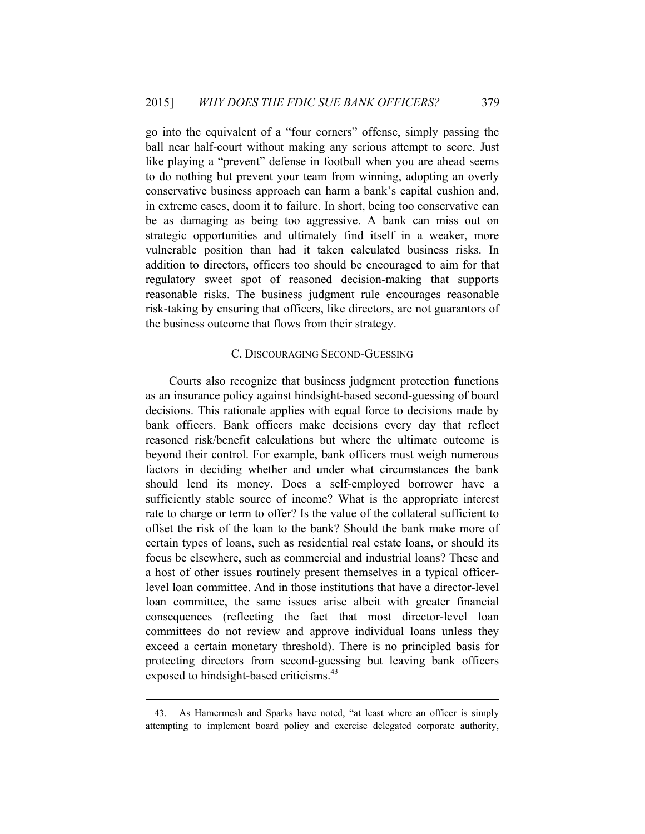go into the equivalent of a "four corners" offense, simply passing the ball near half-court without making any serious attempt to score. Just like playing a "prevent" defense in football when you are ahead seems to do nothing but prevent your team from winning, adopting an overly conservative business approach can harm a bank's capital cushion and, in extreme cases, doom it to failure. In short, being too conservative can be as damaging as being too aggressive. A bank can miss out on strategic opportunities and ultimately find itself in a weaker, more vulnerable position than had it taken calculated business risks. In addition to directors, officers too should be encouraged to aim for that regulatory sweet spot of reasoned decision-making that supports reasonable risks. The business judgment rule encourages reasonable risk-taking by ensuring that officers, like directors, are not guarantors of the business outcome that flows from their strategy.

#### C. DISCOURAGING SECOND-GUESSING

Courts also recognize that business judgment protection functions as an insurance policy against hindsight-based second-guessing of board decisions. This rationale applies with equal force to decisions made by bank officers. Bank officers make decisions every day that reflect reasoned risk/benefit calculations but where the ultimate outcome is beyond their control. For example, bank officers must weigh numerous factors in deciding whether and under what circumstances the bank should lend its money. Does a self-employed borrower have a sufficiently stable source of income? What is the appropriate interest rate to charge or term to offer? Is the value of the collateral sufficient to offset the risk of the loan to the bank? Should the bank make more of certain types of loans, such as residential real estate loans, or should its focus be elsewhere, such as commercial and industrial loans? These and a host of other issues routinely present themselves in a typical officerlevel loan committee. And in those institutions that have a director-level loan committee, the same issues arise albeit with greater financial consequences (reflecting the fact that most director-level loan committees do not review and approve individual loans unless they exceed a certain monetary threshold). There is no principled basis for protecting directors from second-guessing but leaving bank officers exposed to hindsight-based criticisms.<sup>43</sup>

<sup>43.</sup> As Hamermesh and Sparks have noted, "at least where an officer is simply attempting to implement board policy and exercise delegated corporate authority,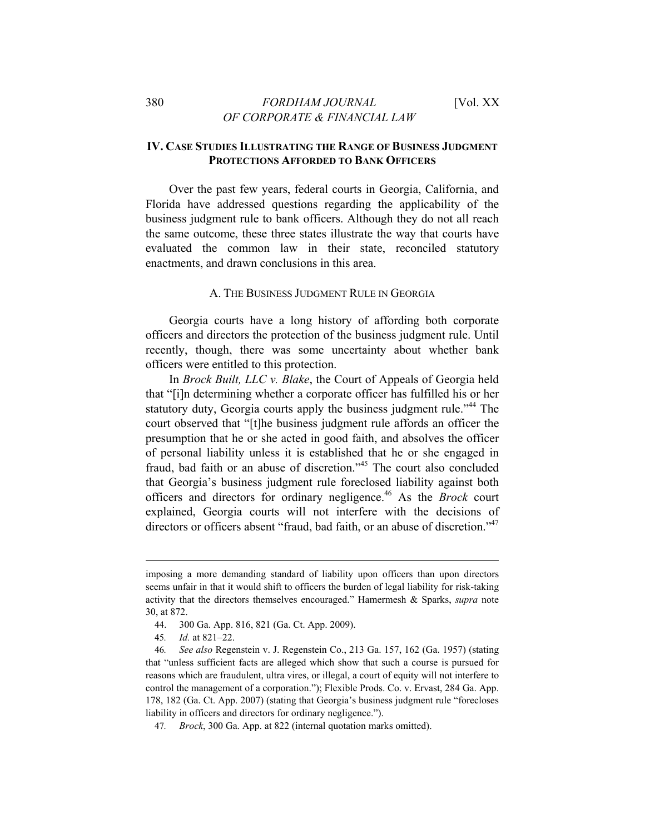# **IV. CASE STUDIES ILLUSTRATING THE RANGE OF BUSINESS JUDGMENT PROTECTIONS AFFORDED TO BANK OFFICERS**

Over the past few years, federal courts in Georgia, California, and Florida have addressed questions regarding the applicability of the business judgment rule to bank officers. Although they do not all reach the same outcome, these three states illustrate the way that courts have evaluated the common law in their state, reconciled statutory enactments, and drawn conclusions in this area.

## A. THE BUSINESS JUDGMENT RULE IN GEORGIA

Georgia courts have a long history of affording both corporate officers and directors the protection of the business judgment rule. Until recently, though, there was some uncertainty about whether bank officers were entitled to this protection.

In *Brock Built, LLC v. Blake*, the Court of Appeals of Georgia held that "[i]n determining whether a corporate officer has fulfilled his or her statutory duty, Georgia courts apply the business judgment rule."<sup>44</sup> The court observed that "[t]he business judgment rule affords an officer the presumption that he or she acted in good faith, and absolves the officer of personal liability unless it is established that he or she engaged in fraud, bad faith or an abuse of discretion."45 The court also concluded that Georgia's business judgment rule foreclosed liability against both officers and directors for ordinary negligence.46 As the *Brock* court explained, Georgia courts will not interfere with the decisions of directors or officers absent "fraud, bad faith, or an abuse of discretion."<sup>47</sup>

imposing a more demanding standard of liability upon officers than upon directors seems unfair in that it would shift to officers the burden of legal liability for risk-taking activity that the directors themselves encouraged." Hamermesh & Sparks, *supra* note 30, at 872.

<sup>44. 300</sup> Ga. App. 816, 821 (Ga. Ct. App. 2009).

<sup>45</sup>*. Id.* at 821–22.

<sup>46</sup>*. See also* Regenstein v. J. Regenstein Co., 213 Ga. 157, 162 (Ga. 1957) (stating that "unless sufficient facts are alleged which show that such a course is pursued for reasons which are fraudulent, ultra vires, or illegal, a court of equity will not interfere to control the management of a corporation."); Flexible Prods. Co. v. Ervast, 284 Ga. App. 178, 182 (Ga. Ct. App. 2007) (stating that Georgia's business judgment rule "forecloses liability in officers and directors for ordinary negligence.").

<sup>47</sup>*. Brock*, 300 Ga. App. at 822 (internal quotation marks omitted).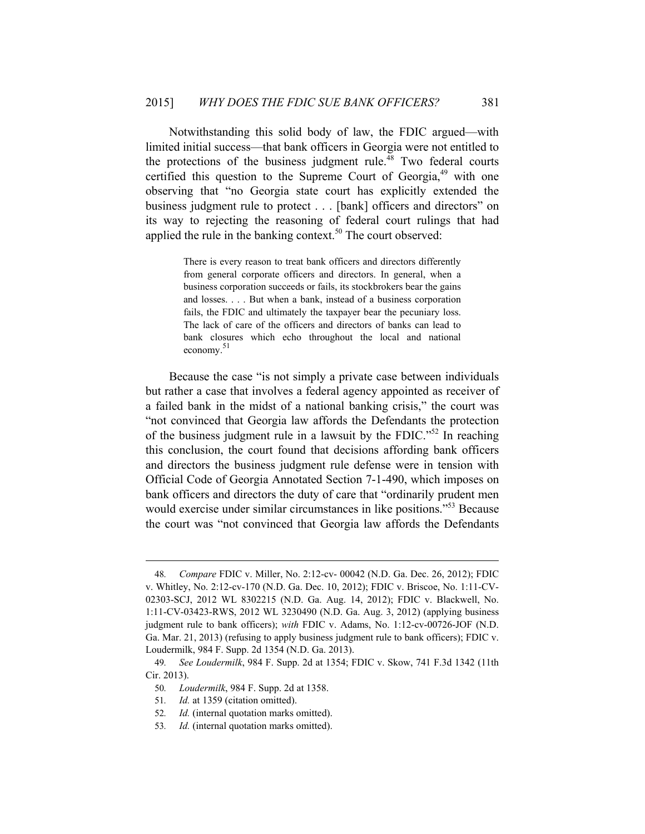Notwithstanding this solid body of law, the FDIC argued—with limited initial success—that bank officers in Georgia were not entitled to the protections of the business judgment rule. $48$  Two federal courts certified this question to the Supreme Court of Georgia,<sup>49</sup> with one observing that "no Georgia state court has explicitly extended the business judgment rule to protect . . . [bank] officers and directors" on its way to rejecting the reasoning of federal court rulings that had applied the rule in the banking context.<sup>50</sup> The court observed:

> There is every reason to treat bank officers and directors differently from general corporate officers and directors. In general, when a business corporation succeeds or fails, its stockbrokers bear the gains and losses. . . . But when a bank, instead of a business corporation fails, the FDIC and ultimately the taxpayer bear the pecuniary loss. The lack of care of the officers and directors of banks can lead to bank closures which echo throughout the local and national economy. 51

Because the case "is not simply a private case between individuals but rather a case that involves a federal agency appointed as receiver of a failed bank in the midst of a national banking crisis," the court was "not convinced that Georgia law affords the Defendants the protection of the business judgment rule in a lawsuit by the FDIC."52 In reaching this conclusion, the court found that decisions affording bank officers and directors the business judgment rule defense were in tension with Official Code of Georgia Annotated Section 7-1-490, which imposes on bank officers and directors the duty of care that "ordinarily prudent men would exercise under similar circumstances in like positions."<sup>53</sup> Because the court was "not convinced that Georgia law affords the Defendants

<sup>48</sup>*. Compare* FDIC v. Miller, No. 2:12-cv- 00042 (N.D. Ga. Dec. 26, 2012); FDIC v. Whitley, No. 2:12-cv-170 (N.D. Ga. Dec. 10, 2012); FDIC v. Briscoe, No. 1:11-CV-02303-SCJ, 2012 WL 8302215 (N.D. Ga. Aug. 14, 2012); FDIC v. Blackwell, No. 1:11-CV-03423-RWS, 2012 WL 3230490 (N.D. Ga. Aug. 3, 2012) (applying business judgment rule to bank officers); *with* FDIC v. Adams, No. 1:12-cv-00726-JOF (N.D. Ga. Mar. 21, 2013) (refusing to apply business judgment rule to bank officers); FDIC v. Loudermilk, 984 F. Supp. 2d 1354 (N.D. Ga. 2013).

<sup>49</sup>*. See Loudermilk*, 984 F. Supp. 2d at 1354; FDIC v. Skow, 741 F.3d 1342 (11th Cir. 2013).

<sup>50</sup>*. Loudermilk*, 984 F. Supp. 2d at 1358.

<sup>51</sup>*. Id.* at 1359 (citation omitted).

<sup>52</sup>*. Id.* (internal quotation marks omitted).

<sup>53</sup>*. Id.* (internal quotation marks omitted).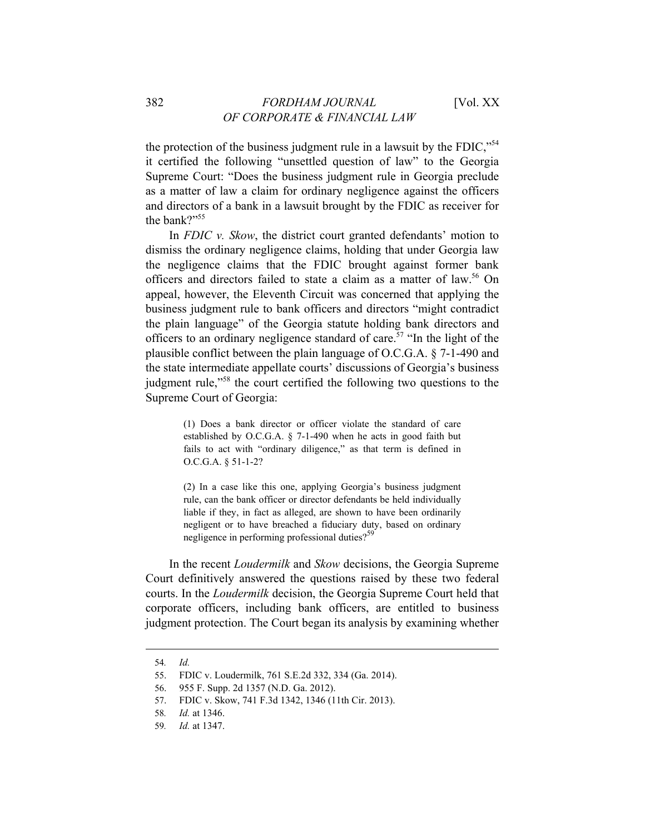the protection of the business judgment rule in a lawsuit by the FDIC,"<sup>54</sup> it certified the following "unsettled question of law" to the Georgia Supreme Court: "Does the business judgment rule in Georgia preclude as a matter of law a claim for ordinary negligence against the officers and directors of a bank in a lawsuit brought by the FDIC as receiver for the bank?"<sup>55</sup>

In *FDIC v. Skow*, the district court granted defendants' motion to dismiss the ordinary negligence claims, holding that under Georgia law the negligence claims that the FDIC brought against former bank officers and directors failed to state a claim as a matter of law.<sup>56</sup> On appeal, however, the Eleventh Circuit was concerned that applying the business judgment rule to bank officers and directors "might contradict the plain language" of the Georgia statute holding bank directors and officers to an ordinary negligence standard of care.<sup>57</sup> "In the light of the plausible conflict between the plain language of O.C.G.A. § 7-1-490 and the state intermediate appellate courts' discussions of Georgia's business judgment rule,"58 the court certified the following two questions to the Supreme Court of Georgia:

> (1) Does a bank director or officer violate the standard of care established by O.C.G.A. § 7-1-490 when he acts in good faith but fails to act with "ordinary diligence," as that term is defined in O.C.G.A. § 51-1-2?

> (2) In a case like this one, applying Georgia's business judgment rule, can the bank officer or director defendants be held individually liable if they, in fact as alleged, are shown to have been ordinarily negligent or to have breached a fiduciary duty, based on ordinary negligence in performing professional duties?<sup>59</sup>

In the recent *Loudermilk* and *Skow* decisions, the Georgia Supreme Court definitively answered the questions raised by these two federal courts. In the *Loudermilk* decision, the Georgia Supreme Court held that corporate officers, including bank officers, are entitled to business judgment protection. The Court began its analysis by examining whether

<sup>54</sup>*. Id.*

<sup>55.</sup> FDIC v. Loudermilk, 761 S.E.2d 332, 334 (Ga. 2014).

<sup>56. 955</sup> F. Supp. 2d 1357 (N.D. Ga. 2012).

<sup>57.</sup> FDIC v. Skow, 741 F.3d 1342, 1346 (11th Cir. 2013).

<sup>58</sup>*. Id.* at 1346.

<sup>59</sup>*. Id.* at 1347.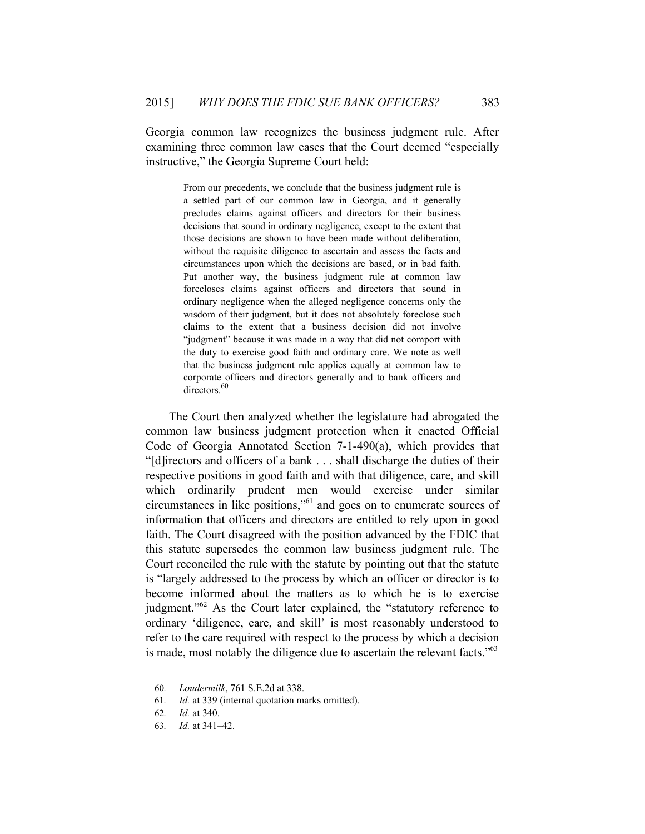Georgia common law recognizes the business judgment rule. After examining three common law cases that the Court deemed "especially instructive," the Georgia Supreme Court held:

> From our precedents, we conclude that the business judgment rule is a settled part of our common law in Georgia, and it generally precludes claims against officers and directors for their business decisions that sound in ordinary negligence, except to the extent that those decisions are shown to have been made without deliberation, without the requisite diligence to ascertain and assess the facts and circumstances upon which the decisions are based, or in bad faith. Put another way, the business judgment rule at common law forecloses claims against officers and directors that sound in ordinary negligence when the alleged negligence concerns only the wisdom of their judgment, but it does not absolutely foreclose such claims to the extent that a business decision did not involve "judgment" because it was made in a way that did not comport with the duty to exercise good faith and ordinary care. We note as well that the business judgment rule applies equally at common law to corporate officers and directors generally and to bank officers and directors.<sup>60</sup>

The Court then analyzed whether the legislature had abrogated the common law business judgment protection when it enacted Official Code of Georgia Annotated Section 7-1-490(a), which provides that "[d]irectors and officers of a bank . . . shall discharge the duties of their respective positions in good faith and with that diligence, care, and skill which ordinarily prudent men would exercise under similar circumstances in like positions,"61 and goes on to enumerate sources of information that officers and directors are entitled to rely upon in good faith. The Court disagreed with the position advanced by the FDIC that this statute supersedes the common law business judgment rule. The Court reconciled the rule with the statute by pointing out that the statute is "largely addressed to the process by which an officer or director is to become informed about the matters as to which he is to exercise judgment."62 As the Court later explained, the "statutory reference to ordinary 'diligence, care, and skill' is most reasonably understood to refer to the care required with respect to the process by which a decision is made, most notably the diligence due to ascertain the relevant facts."<sup>63</sup>

<sup>60</sup>*. Loudermilk*, 761 S.E.2d at 338.

<sup>61</sup>*. Id.* at 339 (internal quotation marks omitted).

<sup>62</sup>*. Id.* at 340.

<sup>63</sup>*. Id.* at 341–42.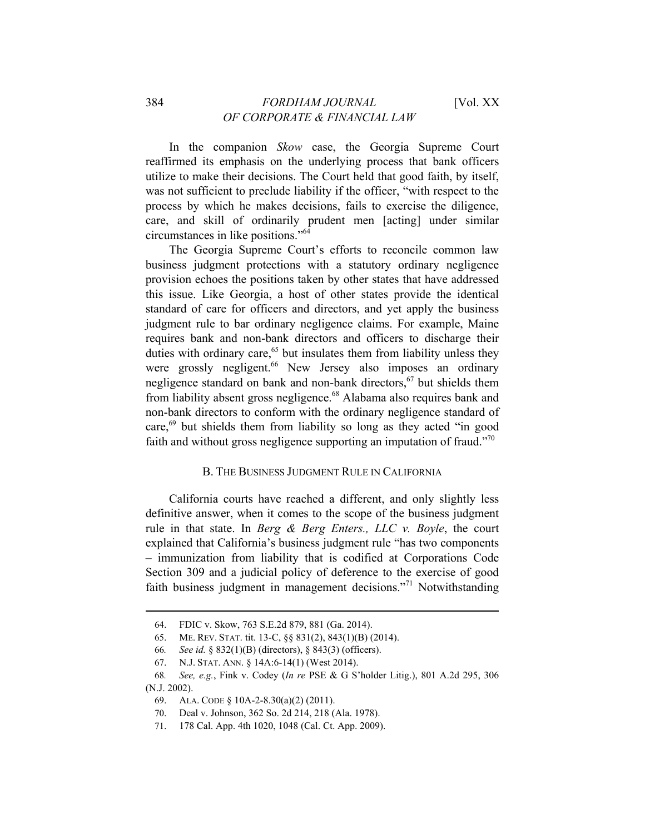In the companion *Skow* case, the Georgia Supreme Court reaffirmed its emphasis on the underlying process that bank officers utilize to make their decisions. The Court held that good faith, by itself, was not sufficient to preclude liability if the officer, "with respect to the process by which he makes decisions, fails to exercise the diligence, care, and skill of ordinarily prudent men [acting] under similar circumstances in like positions."64

The Georgia Supreme Court's efforts to reconcile common law business judgment protections with a statutory ordinary negligence provision echoes the positions taken by other states that have addressed this issue. Like Georgia, a host of other states provide the identical standard of care for officers and directors, and yet apply the business judgment rule to bar ordinary negligence claims. For example, Maine requires bank and non-bank directors and officers to discharge their duties with ordinary care, $65$  but insulates them from liability unless they were grossly negligent.<sup>66</sup> New Jersey also imposes an ordinary negligence standard on bank and non-bank directors, $67$  but shields them from liability absent gross negligence.<sup>68</sup> Alabama also requires bank and non-bank directors to conform with the ordinary negligence standard of care, $69$  but shields them from liability so long as they acted "in good faith and without gross negligence supporting an imputation of fraud."70

## B. THE BUSINESS JUDGMENT RULE IN CALIFORNIA

California courts have reached a different, and only slightly less definitive answer, when it comes to the scope of the business judgment rule in that state. In *Berg & Berg Enters., LLC v. Boyle*, the court explained that California's business judgment rule "has two components – immunization from liability that is codified at Corporations Code Section 309 and a judicial policy of deference to the exercise of good faith business judgment in management decisions."<sup>71</sup> Notwithstanding

<sup>64.</sup> FDIC v. Skow, 763 S.E.2d 879, 881 (Ga. 2014).

<sup>65.</sup> ME. REV. STAT. tit. 13-C, §§ 831(2), 843(1)(B) (2014).

<sup>66</sup>*. See id.* § 832(1)(B) (directors), § 843(3) (officers).

<sup>67.</sup> N.J. STAT. ANN. § 14A:6-14(1) (West 2014).

<sup>68</sup>*. See, e.g.*, Fink v. Codey (*In re* PSE & G S'holder Litig.), 801 A.2d 295, 306 (N.J. 2002).

<sup>69.</sup> ALA. CODE § 10A-2-8.30(a)(2) (2011).

<sup>70.</sup> Deal v. Johnson, 362 So. 2d 214, 218 (Ala. 1978).

<sup>71. 178</sup> Cal. App. 4th 1020, 1048 (Cal. Ct. App. 2009).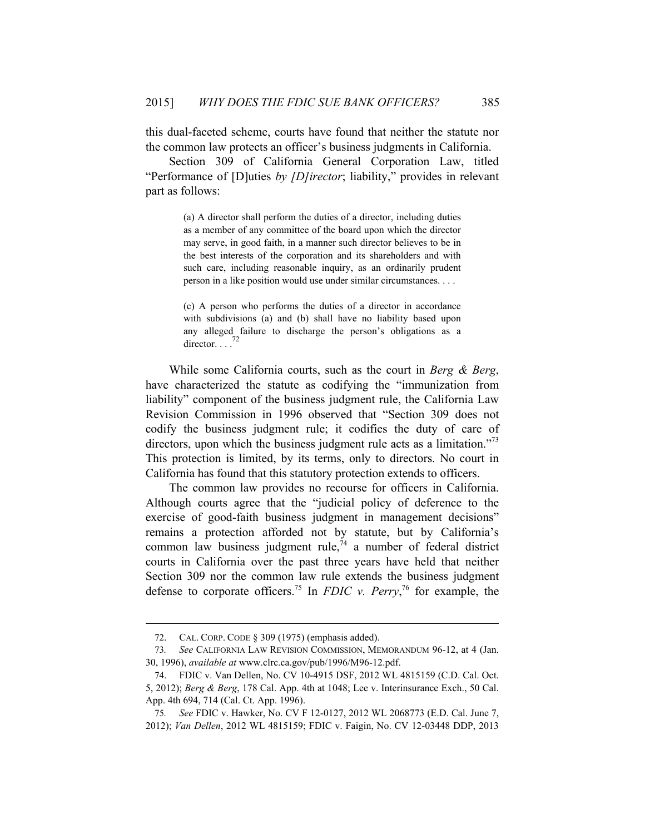this dual-faceted scheme, courts have found that neither the statute nor the common law protects an officer's business judgments in California.

Section 309 of California General Corporation Law, titled "Performance of [D]uties *by [D]irector*; liability," provides in relevant part as follows:

> (a) A director shall perform the duties of a director, including duties as a member of any committee of the board upon which the director may serve, in good faith, in a manner such director believes to be in the best interests of the corporation and its shareholders and with such care, including reasonable inquiry, as an ordinarily prudent person in a like position would use under similar circumstances. . . .

> (c) A person who performs the duties of a director in accordance with subdivisions (a) and (b) shall have no liability based upon any alleged failure to discharge the person's obligations as a director.  $\ldots$ <sup>72</sup>

While some California courts, such as the court in *Berg & Berg*, have characterized the statute as codifying the "immunization from liability" component of the business judgment rule, the California Law Revision Commission in 1996 observed that "Section 309 does not codify the business judgment rule; it codifies the duty of care of directors, upon which the business judgment rule acts as a limitation."<sup>73</sup> This protection is limited, by its terms, only to directors. No court in California has found that this statutory protection extends to officers.

The common law provides no recourse for officers in California. Although courts agree that the "judicial policy of deference to the exercise of good-faith business judgment in management decisions" remains a protection afforded not by statute, but by California's common law business judgment rule,  $\frac{1}{4}$  a number of federal district courts in California over the past three years have held that neither Section 309 nor the common law rule extends the business judgment defense to corporate officers.<sup>75</sup> In *FDIC v. Perry*,<sup>76</sup> for example, the

<sup>72.</sup> CAL. CORP. CODE § 309 (1975) (emphasis added).

<sup>73</sup>*. See* CALIFORNIA LAW REVISION COMMISSION, MEMORANDUM 96-12, at 4 (Jan. 30, 1996), *available at* www.clrc.ca.gov/pub/1996/M96-12.pdf.

<sup>74.</sup> FDIC v. Van Dellen, No. CV 10-4915 DSF, 2012 WL 4815159 (C.D. Cal. Oct. 5, 2012); *Berg & Berg*, 178 Cal. App. 4th at 1048; Lee v. Interinsurance Exch., 50 Cal. App. 4th 694, 714 (Cal. Ct. App. 1996).

<sup>75</sup>*. See* FDIC v. Hawker, No. CV F 12-0127, 2012 WL 2068773 (E.D. Cal. June 7, 2012); *Van Dellen*, 2012 WL 4815159; FDIC v. Faigin, No. CV 12-03448 DDP, 2013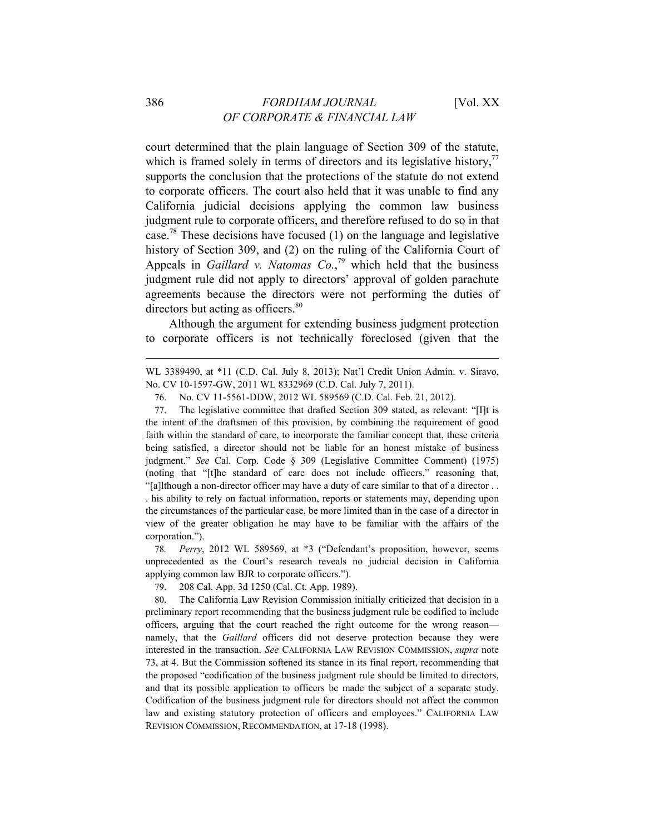court determined that the plain language of Section 309 of the statute, which is framed solely in terms of directors and its legislative history,<sup>77</sup> supports the conclusion that the protections of the statute do not extend to corporate officers. The court also held that it was unable to find any California judicial decisions applying the common law business judgment rule to corporate officers, and therefore refused to do so in that case.78 These decisions have focused (1) on the language and legislative history of Section 309, and (2) on the ruling of the California Court of Appeals in *Gaillard v. Natomas Co.*,<sup>79</sup> which held that the business judgment rule did not apply to directors' approval of golden parachute agreements because the directors were not performing the duties of directors but acting as officers.<sup>80</sup>

Although the argument for extending business judgment protection to corporate officers is not technically foreclosed (given that the

WL 3389490, at \*11 (C.D. Cal. July 8, 2013); Nat'l Credit Union Admin. v. Siravo, No. CV 10-1597-GW, 2011 WL 8332969 (C.D. Cal. July 7, 2011).

77. The legislative committee that drafted Section 309 stated, as relevant: "[I]t is the intent of the draftsmen of this provision, by combining the requirement of good faith within the standard of care, to incorporate the familiar concept that, these criteria being satisfied, a director should not be liable for an honest mistake of business judgment." *See* Cal. Corp. Code § 309 (Legislative Committee Comment) (1975) (noting that "[t]he standard of care does not include officers," reasoning that, "[a]lthough a non-director officer may have a duty of care similar to that of a director . . . his ability to rely on factual information, reports or statements may, depending upon the circumstances of the particular case, be more limited than in the case of a director in view of the greater obligation he may have to be familiar with the affairs of the corporation.").

78*. Perry*, 2012 WL 589569, at \*3 ("Defendant's proposition, however, seems unprecedented as the Court's research reveals no judicial decision in California applying common law BJR to corporate officers.").

79. 208 Cal. App. 3d 1250 (Cal. Ct. App. 1989).

80. The California Law Revision Commission initially criticized that decision in a preliminary report recommending that the business judgment rule be codified to include officers, arguing that the court reached the right outcome for the wrong reason namely, that the *Gaillard* officers did not deserve protection because they were interested in the transaction. *See* CALIFORNIA LAW REVISION COMMISSION, *supra* note 73, at 4. But the Commission softened its stance in its final report, recommending that the proposed "codification of the business judgment rule should be limited to directors, and that its possible application to officers be made the subject of a separate study. Codification of the business judgment rule for directors should not affect the common law and existing statutory protection of officers and employees." CALIFORNIA LAW REVISION COMMISSION, RECOMMENDATION, at 17-18 (1998).

<sup>76.</sup> No. CV 11-5561-DDW, 2012 WL 589569 (C.D. Cal. Feb. 21, 2012).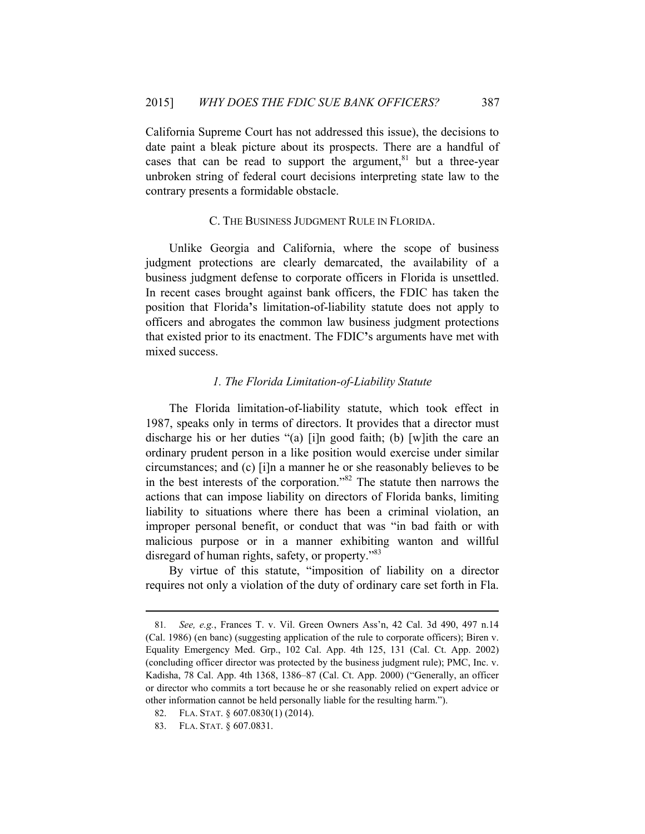California Supreme Court has not addressed this issue), the decisions to date paint a bleak picture about its prospects. There are a handful of cases that can be read to support the argument, $81$  but a three-year unbroken string of federal court decisions interpreting state law to the contrary presents a formidable obstacle.

## C. THE BUSINESS JUDGMENT RULE IN FLORIDA.

Unlike Georgia and California, where the scope of business judgment protections are clearly demarcated, the availability of a business judgment defense to corporate officers in Florida is unsettled. In recent cases brought against bank officers, the FDIC has taken the position that Florida**'**s limitation-of-liability statute does not apply to officers and abrogates the common law business judgment protections that existed prior to its enactment. The FDIC**'**s arguments have met with mixed success.

## *1. The Florida Limitation-of-Liability Statute*

The Florida limitation-of-liability statute, which took effect in 1987, speaks only in terms of directors. It provides that a director must discharge his or her duties "(a) [i]n good faith; (b) [w]ith the care an ordinary prudent person in a like position would exercise under similar circumstances; and (c) [i]n a manner he or she reasonably believes to be in the best interests of the corporation."82 The statute then narrows the actions that can impose liability on directors of Florida banks, limiting liability to situations where there has been a criminal violation, an improper personal benefit, or conduct that was "in bad faith or with malicious purpose or in a manner exhibiting wanton and willful disregard of human rights, safety, or property."<sup>83</sup>

By virtue of this statute, "imposition of liability on a director requires not only a violation of the duty of ordinary care set forth in Fla.

<sup>81</sup>*. See, e.g.*, Frances T. v. Vil. Green Owners Ass'n, 42 Cal. 3d 490, 497 n.14 (Cal. 1986) (en banc) (suggesting application of the rule to corporate officers); Biren v. Equality Emergency Med. Grp., 102 Cal. App. 4th 125, 131 (Cal. Ct. App. 2002) (concluding officer director was protected by the business judgment rule); PMC, Inc. v. Kadisha, 78 Cal. App. 4th 1368, 1386–87 (Cal. Ct. App. 2000) ("Generally, an officer or director who commits a tort because he or she reasonably relied on expert advice or other information cannot be held personally liable for the resulting harm.").

<sup>82.</sup> FLA. STAT. § 607.0830(1) (2014).

<sup>83.</sup> FLA. STAT. § 607.0831.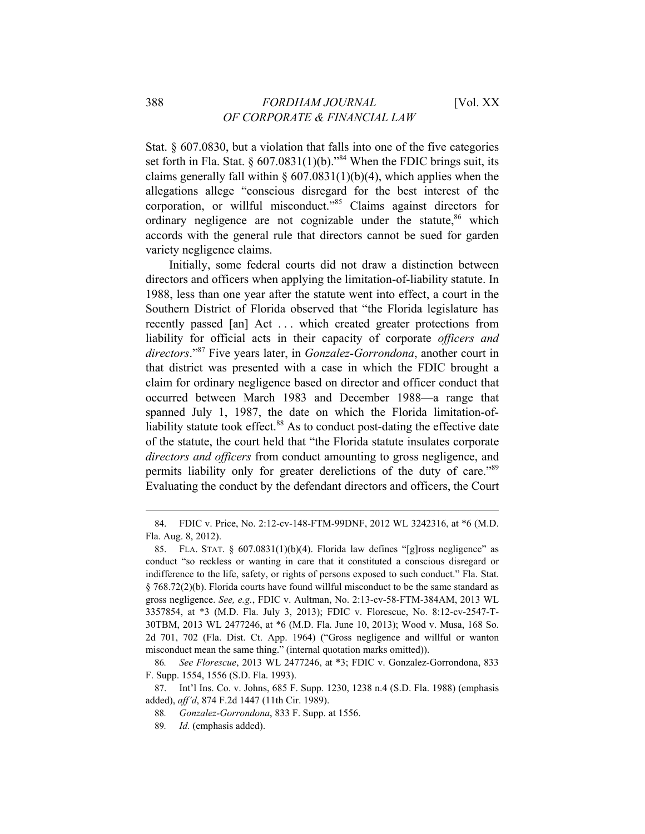Stat. § 607.0830, but a violation that falls into one of the five categories set forth in Fla. Stat. §  $607.0831(1)(b)$ ."<sup>84</sup> When the FDIC brings suit, its claims generally fall within  $\S 607.0831(1)(b)(4)$ , which applies when the allegations allege "conscious disregard for the best interest of the corporation, or willful misconduct."85 Claims against directors for ordinary negligence are not cognizable under the statute, $86$  which accords with the general rule that directors cannot be sued for garden variety negligence claims.

Initially, some federal courts did not draw a distinction between directors and officers when applying the limitation-of-liability statute. In 1988, less than one year after the statute went into effect, a court in the Southern District of Florida observed that "the Florida legislature has recently passed [an] Act ... which created greater protections from liability for official acts in their capacity of corporate *officers and directors*."87 Five years later, in *Gonzalez-Gorrondona*, another court in that district was presented with a case in which the FDIC brought a claim for ordinary negligence based on director and officer conduct that occurred between March 1983 and December 1988—a range that spanned July 1, 1987, the date on which the Florida limitation-ofliability statute took effect.<sup>88</sup> As to conduct post-dating the effective date of the statute, the court held that "the Florida statute insulates corporate *directors and officers* from conduct amounting to gross negligence, and permits liability only for greater derelictions of the duty of care.<sup>89</sup> Evaluating the conduct by the defendant directors and officers, the Court

<sup>84.</sup> FDIC v. Price, No. 2:12-cv-148-FTM-99DNF, 2012 WL 3242316, at \*6 (M.D. Fla. Aug. 8, 2012).

<sup>85.</sup> FLA. STAT. §  $607.0831(1)(b)(4)$ . Florida law defines "[g]ross negligence" as conduct "so reckless or wanting in care that it constituted a conscious disregard or indifference to the life, safety, or rights of persons exposed to such conduct." Fla. Stat. § 768.72(2)(b). Florida courts have found willful misconduct to be the same standard as gross negligence. *See, e.g.*, FDIC v. Aultman, No. 2:13-cv-58-FTM-384AM, 2013 WL 3357854, at \*3 (M.D. Fla. July 3, 2013); FDIC v. Florescue, No. 8:12-cv-2547-T-30TBM, 2013 WL 2477246, at \*6 (M.D. Fla. June 10, 2013); Wood v. Musa, 168 So. 2d 701, 702 (Fla. Dist. Ct. App. 1964) ("Gross negligence and willful or wanton misconduct mean the same thing." (internal quotation marks omitted)).

<sup>86</sup>*. See Florescue*, 2013 WL 2477246, at \*3; FDIC v. Gonzalez-Gorrondona, 833 F. Supp. 1554, 1556 (S.D. Fla. 1993).

<sup>87.</sup> Int'l Ins. Co. v. Johns, 685 F. Supp. 1230, 1238 n.4 (S.D. Fla. 1988) (emphasis added), *aff'd*, 874 F.2d 1447 (11th Cir. 1989).

<sup>88</sup>*. Gonzalez-Gorrondona*, 833 F. Supp. at 1556.

<sup>89</sup>*. Id.* (emphasis added).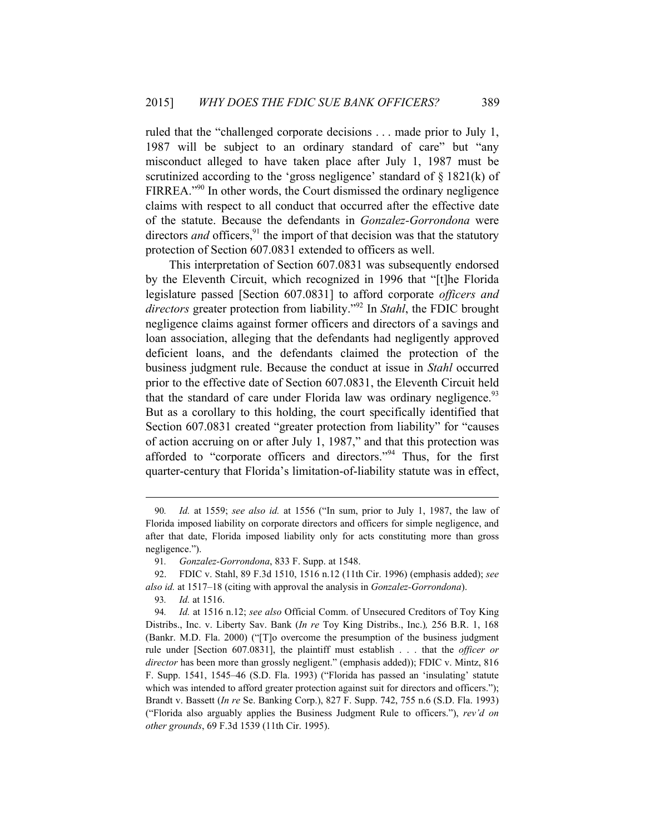ruled that the "challenged corporate decisions . . . made prior to July 1, 1987 will be subject to an ordinary standard of care" but "any misconduct alleged to have taken place after July 1, 1987 must be scrutinized according to the 'gross negligence' standard of  $\S$  1821(k) of FIRREA.<sup>"90</sup> In other words, the Court dismissed the ordinary negligence claims with respect to all conduct that occurred after the effective date of the statute. Because the defendants in *Gonzalez-Gorrondona* were directors *and* officers,  $91$  the import of that decision was that the statutory protection of Section 607.0831 extended to officers as well.

This interpretation of Section 607.0831 was subsequently endorsed by the Eleventh Circuit, which recognized in 1996 that "[t]he Florida legislature passed [Section 607.0831] to afford corporate *officers and directors* greater protection from liability."92 In *Stahl*, the FDIC brought negligence claims against former officers and directors of a savings and loan association, alleging that the defendants had negligently approved deficient loans, and the defendants claimed the protection of the business judgment rule. Because the conduct at issue in *Stahl* occurred prior to the effective date of Section 607.0831, the Eleventh Circuit held that the standard of care under Florida law was ordinary negligence.<sup>93</sup> But as a corollary to this holding, the court specifically identified that Section 607.0831 created "greater protection from liability" for "causes of action accruing on or after July 1, 1987," and that this protection was afforded to "corporate officers and directors."94 Thus, for the first quarter-century that Florida's limitation-of-liability statute was in effect,

93*. Id.* at 1516.

<sup>90</sup>*. Id.* at 1559; *see also id.* at 1556 ("In sum, prior to July 1, 1987, the law of Florida imposed liability on corporate directors and officers for simple negligence, and after that date, Florida imposed liability only for acts constituting more than gross negligence.").

<sup>91</sup>*. Gonzalez-Gorrondona*, 833 F. Supp. at 1548.

<sup>92.</sup> FDIC v. Stahl, 89 F.3d 1510, 1516 n.12 (11th Cir. 1996) (emphasis added); *see also id.* at 1517–18 (citing with approval the analysis in *Gonzalez-Gorrondona*).

<sup>94</sup>*. Id.* at 1516 n.12; *see also* Official Comm. of Unsecured Creditors of Toy King Distribs., Inc. v. Liberty Sav. Bank (*In re* Toy King Distribs., Inc.)*,* 256 B.R. 1, 168 (Bankr. M.D. Fla. 2000) ("[T]o overcome the presumption of the business judgment rule under [Section 607.0831], the plaintiff must establish . . . that the *officer or director* has been more than grossly negligent." (emphasis added)); FDIC v. Mintz, 816 F. Supp. 1541, 1545–46 (S.D. Fla. 1993) ("Florida has passed an 'insulating' statute which was intended to afford greater protection against suit for directors and officers."); Brandt v. Bassett (*In re* Se. Banking Corp.), 827 F. Supp. 742, 755 n.6 (S.D. Fla. 1993) ("Florida also arguably applies the Business Judgment Rule to officers."), *rev'd on other grounds*, 69 F.3d 1539 (11th Cir. 1995).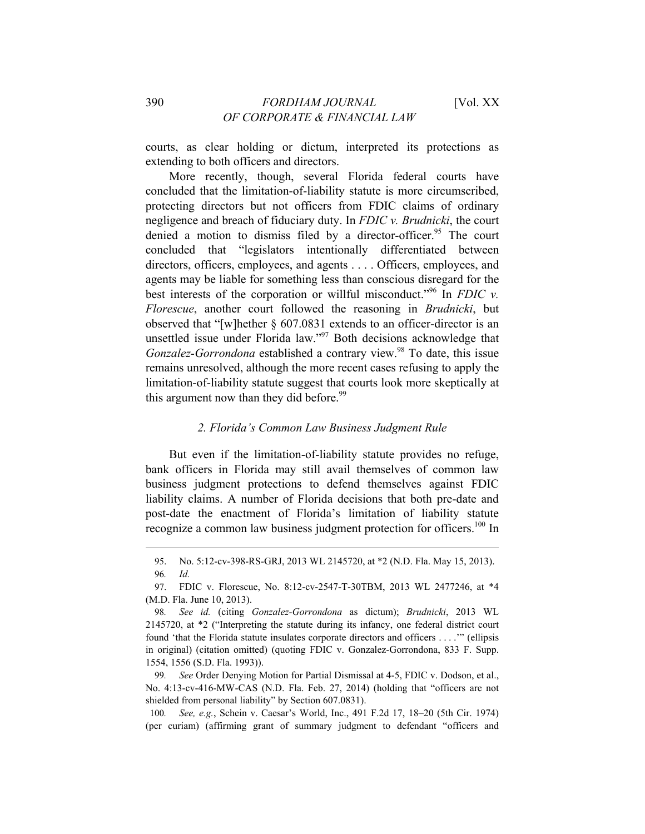courts, as clear holding or dictum, interpreted its protections as extending to both officers and directors.

More recently, though, several Florida federal courts have concluded that the limitation-of-liability statute is more circumscribed, protecting directors but not officers from FDIC claims of ordinary negligence and breach of fiduciary duty. In *FDIC v. Brudnicki*, the court denied a motion to dismiss filed by a director-officer.<sup>95</sup> The court concluded that "legislators intentionally differentiated between directors, officers, employees, and agents . . . . Officers, employees, and agents may be liable for something less than conscious disregard for the best interests of the corporation or willful misconduct."96 In *FDIC v. Florescue*, another court followed the reasoning in *Brudnicki*, but observed that "[w]hether § 607.0831 extends to an officer-director is an unsettled issue under Florida law."<sup>97</sup> Both decisions acknowledge that *Gonzalez-Gorrondona* established a contrary view.<sup>98</sup> To date, this issue remains unresolved, although the more recent cases refusing to apply the limitation-of-liability statute suggest that courts look more skeptically at this argument now than they did before.<sup>99</sup>

#### *2. Florida's Common Law Business Judgment Rule*

But even if the limitation-of-liability statute provides no refuge, bank officers in Florida may still avail themselves of common law business judgment protections to defend themselves against FDIC liability claims. A number of Florida decisions that both pre-date and post-date the enactment of Florida's limitation of liability statute recognize a common law business judgment protection for officers.<sup>100</sup> In

 $\overline{a}$ 

99*. See* Order Denying Motion for Partial Dismissal at 4-5, FDIC v. Dodson, et al., No. 4:13-cv-416-MW-CAS (N.D. Fla. Feb. 27, 2014) (holding that "officers are not shielded from personal liability" by Section 607.0831).

100*. See, e.g.*, Schein v. Caesar's World, Inc., 491 F.2d 17, 18–20 (5th Cir. 1974) (per curiam) (affirming grant of summary judgment to defendant "officers and

<sup>95.</sup> No. 5:12-cv-398-RS-GRJ, 2013 WL 2145720, at \*2 (N.D. Fla. May 15, 2013).

<sup>96</sup>*. Id.*

<sup>97.</sup> FDIC v. Florescue, No. 8:12-cv-2547-T-30TBM, 2013 WL 2477246, at \*4 (M.D. Fla. June 10, 2013).

<sup>98</sup>*. See id.* (citing *Gonzalez-Gorrondona* as dictum); *Brudnicki*, 2013 WL 2145720, at \*2 ("Interpreting the statute during its infancy, one federal district court found 'that the Florida statute insulates corporate directors and officers . . . .'" (ellipsis in original) (citation omitted) (quoting FDIC v. Gonzalez-Gorrondona, 833 F. Supp. 1554, 1556 (S.D. Fla. 1993)).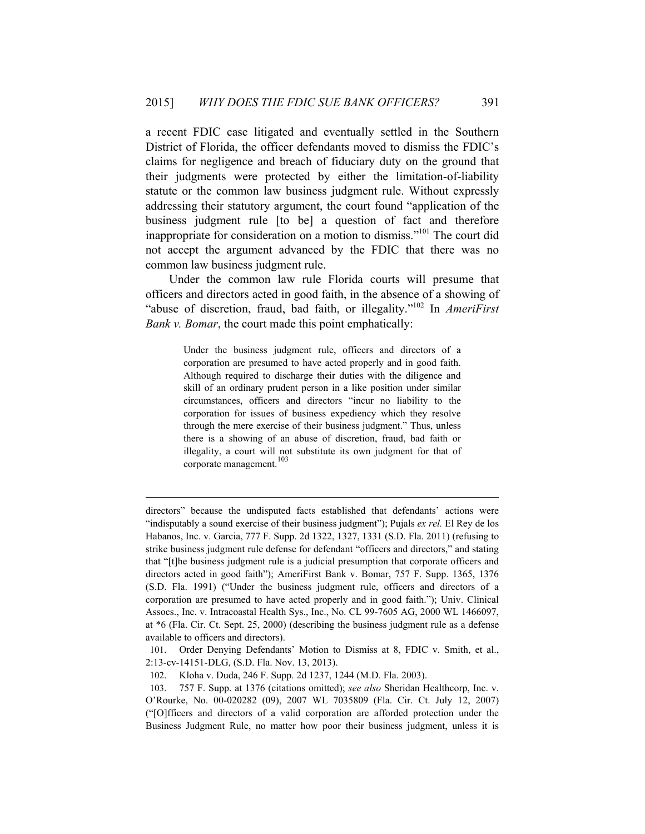a recent FDIC case litigated and eventually settled in the Southern District of Florida, the officer defendants moved to dismiss the FDIC's claims for negligence and breach of fiduciary duty on the ground that their judgments were protected by either the limitation-of-liability statute or the common law business judgment rule. Without expressly addressing their statutory argument, the court found "application of the business judgment rule [to be] a question of fact and therefore inappropriate for consideration on a motion to dismiss."101 The court did not accept the argument advanced by the FDIC that there was no common law business judgment rule.

Under the common law rule Florida courts will presume that officers and directors acted in good faith, in the absence of a showing of "abuse of discretion, fraud, bad faith, or illegality."102 In *AmeriFirst Bank v. Bomar*, the court made this point emphatically:

> Under the business judgment rule, officers and directors of a corporation are presumed to have acted properly and in good faith. Although required to discharge their duties with the diligence and skill of an ordinary prudent person in a like position under similar circumstances, officers and directors "incur no liability to the corporation for issues of business expediency which they resolve through the mere exercise of their business judgment." Thus, unless there is a showing of an abuse of discretion, fraud, bad faith or illegality, a court will not substitute its own judgment for that of corporate management.<sup>103</sup>

directors" because the undisputed facts established that defendants' actions were "indisputably a sound exercise of their business judgment"); Pujals *ex rel.* El Rey de los Habanos, Inc. v. Garcia, 777 F. Supp. 2d 1322, 1327, 1331 (S.D. Fla. 2011) (refusing to strike business judgment rule defense for defendant "officers and directors," and stating that "[t]he business judgment rule is a judicial presumption that corporate officers and directors acted in good faith"); AmeriFirst Bank v. Bomar, 757 F. Supp. 1365, 1376 (S.D. Fla. 1991) ("Under the business judgment rule, officers and directors of a corporation are presumed to have acted properly and in good faith."); Univ. Clinical Assocs., Inc. v. Intracoastal Health Sys., Inc., No. CL 99-7605 AG, 2000 WL 1466097, at \*6 (Fla. Cir. Ct. Sept. 25, 2000) (describing the business judgment rule as a defense available to officers and directors).

<sup>101.</sup> Order Denying Defendants' Motion to Dismiss at 8, FDIC v. Smith, et al., 2:13-cv-14151-DLG, (S.D. Fla. Nov. 13, 2013).

<sup>102.</sup> Kloha v. Duda, 246 F. Supp. 2d 1237, 1244 (M.D. Fla. 2003).

<sup>103. 757</sup> F. Supp. at 1376 (citations omitted); *see also* Sheridan Healthcorp, Inc. v. O'Rourke, No. 00-020282 (09), 2007 WL 7035809 (Fla. Cir. Ct. July 12, 2007) ("[O]fficers and directors of a valid corporation are afforded protection under the Business Judgment Rule, no matter how poor their business judgment, unless it is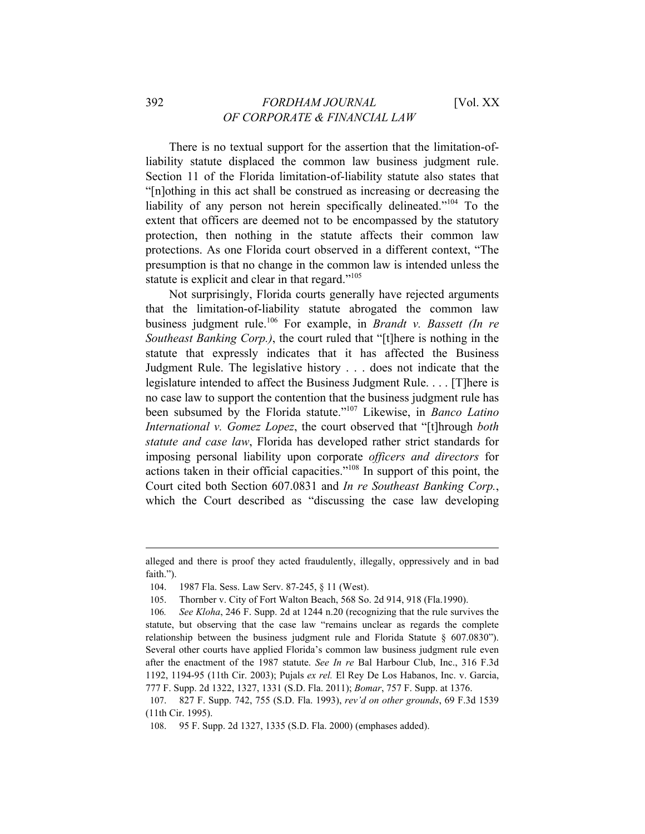## 392 *FORDHAM JOURNAL* [Vol. XX *OF CORPORATE & FINANCIAL LAW*

There is no textual support for the assertion that the limitation-ofliability statute displaced the common law business judgment rule. Section 11 of the Florida limitation-of-liability statute also states that "[n]othing in this act shall be construed as increasing or decreasing the liability of any person not herein specifically delineated."104 To the extent that officers are deemed not to be encompassed by the statutory protection, then nothing in the statute affects their common law protections. As one Florida court observed in a different context, "The presumption is that no change in the common law is intended unless the statute is explicit and clear in that regard."<sup>105</sup>

Not surprisingly, Florida courts generally have rejected arguments that the limitation-of-liability statute abrogated the common law business judgment rule.106 For example, in *Brandt v. Bassett (In re Southeast Banking Corp.)*, the court ruled that "[t]here is nothing in the statute that expressly indicates that it has affected the Business Judgment Rule. The legislative history . . . does not indicate that the legislature intended to affect the Business Judgment Rule. . . . [T]here is no case law to support the contention that the business judgment rule has been subsumed by the Florida statute."107 Likewise, in *Banco Latino International v. Gomez Lopez*, the court observed that "[t]hrough *both statute and case law*, Florida has developed rather strict standards for imposing personal liability upon corporate *officers and directors* for actions taken in their official capacities."108 In support of this point, the Court cited both Section 607.0831 and *In re Southeast Banking Corp.*, which the Court described as "discussing the case law developing

alleged and there is proof they acted fraudulently, illegally, oppressively and in bad faith.").

<sup>104. 1987</sup> Fla. Sess. Law Serv. 87-245, § 11 (West).

<sup>105.</sup> Thornber v. City of Fort Walton Beach, 568 So. 2d 914, 918 (Fla.1990).

<sup>106</sup>*. See Kloha*, 246 F. Supp. 2d at 1244 n.20 (recognizing that the rule survives the statute, but observing that the case law "remains unclear as regards the complete relationship between the business judgment rule and Florida Statute § 607.0830"). Several other courts have applied Florida's common law business judgment rule even after the enactment of the 1987 statute. *See In re* Bal Harbour Club, Inc., 316 F.3d 1192, 1194-95 (11th Cir. 2003); Pujals *ex rel.* El Rey De Los Habanos, Inc. v. Garcia, 777 F. Supp. 2d 1322, 1327, 1331 (S.D. Fla. 2011); *Bomar*, 757 F. Supp. at 1376.

<sup>107. 827</sup> F. Supp. 742, 755 (S.D. Fla. 1993), *rev'd on other grounds*, 69 F.3d 1539 (11th Cir. 1995).

<sup>108. 95</sup> F. Supp. 2d 1327, 1335 (S.D. Fla. 2000) (emphases added).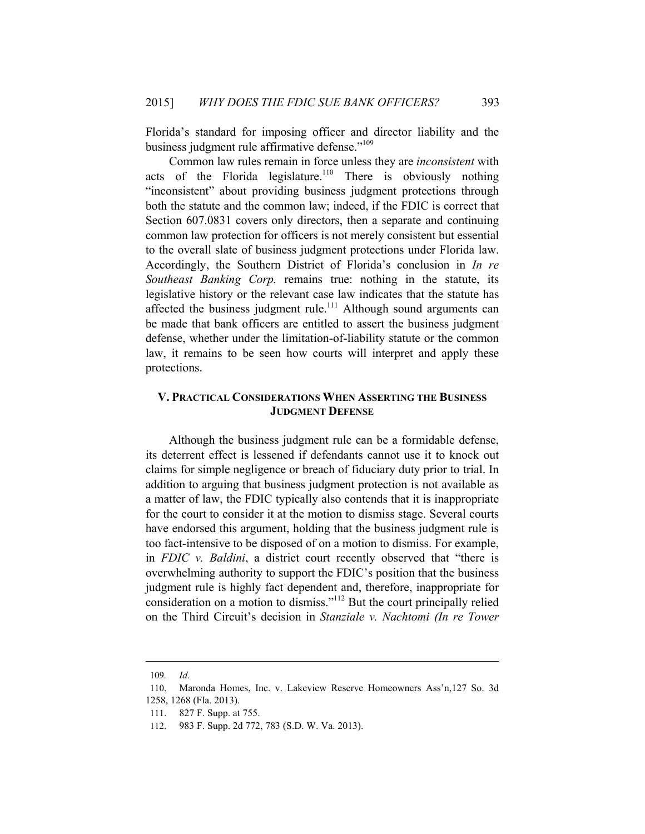Florida's standard for imposing officer and director liability and the business judgment rule affirmative defense."109

Common law rules remain in force unless they are *inconsistent* with acts of the Florida legislature.<sup>110</sup> There is obviously nothing "inconsistent" about providing business judgment protections through both the statute and the common law; indeed, if the FDIC is correct that Section 607.0831 covers only directors, then a separate and continuing common law protection for officers is not merely consistent but essential to the overall slate of business judgment protections under Florida law. Accordingly, the Southern District of Florida's conclusion in *In re Southeast Banking Corp.* remains true: nothing in the statute, its legislative history or the relevant case law indicates that the statute has affected the business judgment rule.<sup>111</sup> Although sound arguments can be made that bank officers are entitled to assert the business judgment defense, whether under the limitation-of-liability statute or the common law, it remains to be seen how courts will interpret and apply these protections.

## **V. PRACTICAL CONSIDERATIONS WHEN ASSERTING THE BUSINESS JUDGMENT DEFENSE**

Although the business judgment rule can be a formidable defense, its deterrent effect is lessened if defendants cannot use it to knock out claims for simple negligence or breach of fiduciary duty prior to trial. In addition to arguing that business judgment protection is not available as a matter of law, the FDIC typically also contends that it is inappropriate for the court to consider it at the motion to dismiss stage. Several courts have endorsed this argument, holding that the business judgment rule is too fact-intensive to be disposed of on a motion to dismiss. For example, in *FDIC v. Baldini*, a district court recently observed that "there is overwhelming authority to support the FDIC's position that the business judgment rule is highly fact dependent and, therefore, inappropriate for consideration on a motion to dismiss."112 But the court principally relied on the Third Circuit's decision in *Stanziale v. Nachtomi (In re Tower* 

<sup>109</sup>*. Id.*

<sup>110.</sup> Maronda Homes, Inc. v. Lakeview Reserve Homeowners Ass'n,127 So. 3d 1258, 1268 (Fla. 2013).

<sup>111. 827</sup> F. Supp. at 755.

<sup>112. 983</sup> F. Supp. 2d 772, 783 (S.D. W. Va. 2013).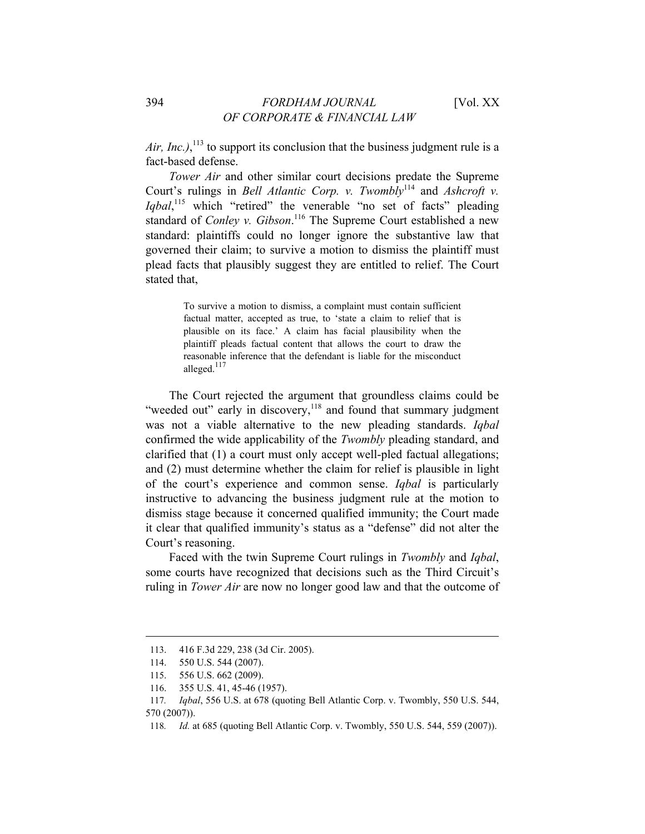Air, Inc.),  $^{113}$  to support its conclusion that the business judgment rule is a fact-based defense.

*Tower Air* and other similar court decisions predate the Supreme Court's rulings in *Bell Atlantic Corp. v. Twombly*<sup>114</sup> and *Ashcroft v.* Iqbal,<sup>115</sup> which "retired" the venerable "no set of facts" pleading standard of *Conley v. Gibson*.<sup>116</sup> The Supreme Court established a new standard: plaintiffs could no longer ignore the substantive law that governed their claim; to survive a motion to dismiss the plaintiff must plead facts that plausibly suggest they are entitled to relief. The Court stated that,

> To survive a motion to dismiss, a complaint must contain sufficient factual matter, accepted as true, to 'state a claim to relief that is plausible on its face.' A claim has facial plausibility when the plaintiff pleads factual content that allows the court to draw the reasonable inference that the defendant is liable for the misconduct alleged.<sup>117</sup>

The Court rejected the argument that groundless claims could be "weeded out" early in discovery,<sup>118</sup> and found that summary judgment was not a viable alternative to the new pleading standards. *Iqbal* confirmed the wide applicability of the *Twombly* pleading standard, and clarified that (1) a court must only accept well-pled factual allegations; and (2) must determine whether the claim for relief is plausible in light of the court's experience and common sense. *Iqbal* is particularly instructive to advancing the business judgment rule at the motion to dismiss stage because it concerned qualified immunity; the Court made it clear that qualified immunity's status as a "defense" did not alter the Court's reasoning.

Faced with the twin Supreme Court rulings in *Twombly* and *Iqbal*, some courts have recognized that decisions such as the Third Circuit's ruling in *Tower Air* are now no longer good law and that the outcome of

<sup>113. 416</sup> F.3d 229, 238 (3d Cir. 2005).

<sup>114. 550</sup> U.S. 544 (2007).

<sup>115. 556</sup> U.S. 662 (2009).

<sup>116. 355</sup> U.S. 41, 45-46 (1957).

<sup>117</sup>*. Iqbal*, 556 U.S. at 678 (quoting Bell Atlantic Corp. v. Twombly, 550 U.S. 544, 570 (2007)).

<sup>118</sup>*. Id.* at 685 (quoting Bell Atlantic Corp. v. Twombly, 550 U.S. 544, 559 (2007)).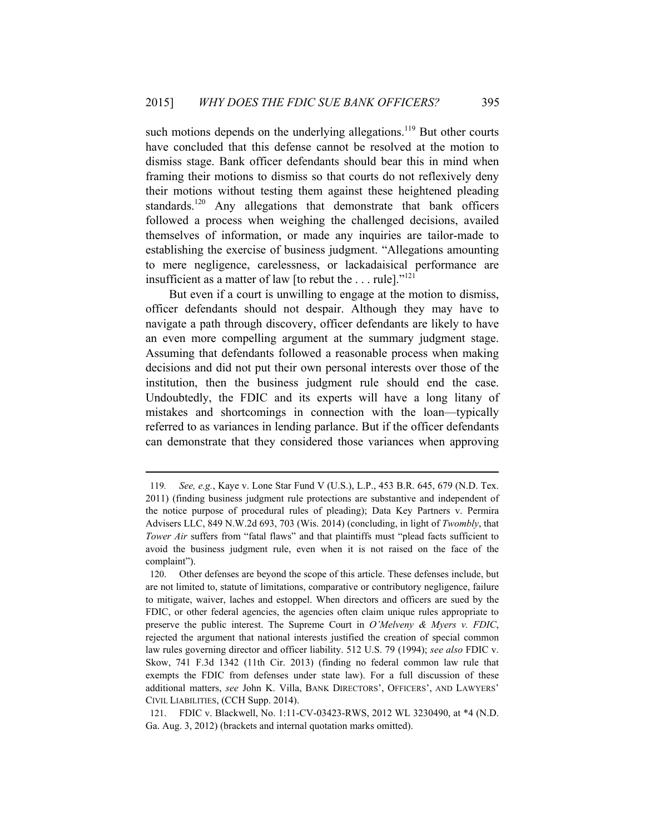such motions depends on the underlying allegations.<sup>119</sup> But other courts have concluded that this defense cannot be resolved at the motion to dismiss stage. Bank officer defendants should bear this in mind when framing their motions to dismiss so that courts do not reflexively deny their motions without testing them against these heightened pleading standards.<sup>120</sup> Any allegations that demonstrate that bank officers followed a process when weighing the challenged decisions, availed themselves of information, or made any inquiries are tailor-made to establishing the exercise of business judgment. "Allegations amounting to mere negligence, carelessness, or lackadaisical performance are insufficient as a matter of law [to rebut the  $\dots$  rule]."<sup>121</sup>

But even if a court is unwilling to engage at the motion to dismiss, officer defendants should not despair. Although they may have to navigate a path through discovery, officer defendants are likely to have an even more compelling argument at the summary judgment stage. Assuming that defendants followed a reasonable process when making decisions and did not put their own personal interests over those of the institution, then the business judgment rule should end the case. Undoubtedly, the FDIC and its experts will have a long litany of mistakes and shortcomings in connection with the loan—typically referred to as variances in lending parlance. But if the officer defendants can demonstrate that they considered those variances when approving

<sup>119</sup>*. See, e.g.*, Kaye v. Lone Star Fund V (U.S.), L.P., 453 B.R. 645, 679 (N.D. Tex. 2011) (finding business judgment rule protections are substantive and independent of the notice purpose of procedural rules of pleading); Data Key Partners v. Permira Advisers LLC, 849 N.W.2d 693, 703 (Wis. 2014) (concluding, in light of *Twombly*, that *Tower Air* suffers from "fatal flaws" and that plaintiffs must "plead facts sufficient to avoid the business judgment rule, even when it is not raised on the face of the complaint").

<sup>120.</sup> Other defenses are beyond the scope of this article. These defenses include, but are not limited to, statute of limitations, comparative or contributory negligence, failure to mitigate, waiver, laches and estoppel. When directors and officers are sued by the FDIC, or other federal agencies, the agencies often claim unique rules appropriate to preserve the public interest. The Supreme Court in *O'Melveny & Myers v. FDIC*, rejected the argument that national interests justified the creation of special common law rules governing director and officer liability. 512 U.S. 79 (1994); *see also* FDIC v. Skow, 741 F.3d 1342 (11th Cir. 2013) (finding no federal common law rule that exempts the FDIC from defenses under state law). For a full discussion of these additional matters, *see* John K. Villa, BANK DIRECTORS', OFFICERS', AND LAWYERS' CIVIL LIABILITIES, (CCH Supp. 2014).

<sup>121.</sup> FDIC v. Blackwell, No. 1:11-CV-03423-RWS, 2012 WL 3230490, at \*4 (N.D. Ga. Aug. 3, 2012) (brackets and internal quotation marks omitted).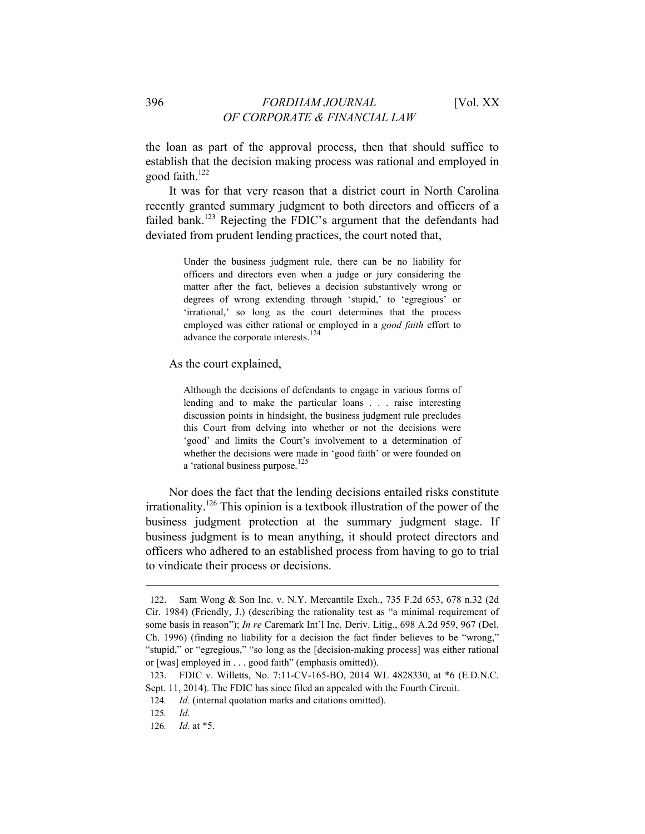the loan as part of the approval process, then that should suffice to establish that the decision making process was rational and employed in good faith.<sup>122</sup>

It was for that very reason that a district court in North Carolina recently granted summary judgment to both directors and officers of a failed bank.<sup>123</sup> Rejecting the FDIC's argument that the defendants had deviated from prudent lending practices, the court noted that,

> Under the business judgment rule, there can be no liability for officers and directors even when a judge or jury considering the matter after the fact, believes a decision substantively wrong or degrees of wrong extending through 'stupid,' to 'egregious' or 'irrational,' so long as the court determines that the process employed was either rational or employed in a *good faith* effort to advance the corporate interests.<sup>124</sup>

As the court explained,

Although the decisions of defendants to engage in various forms of lending and to make the particular loans . . . raise interesting discussion points in hindsight, the business judgment rule precludes this Court from delving into whether or not the decisions were 'good' and limits the Court's involvement to a determination of whether the decisions were made in 'good faith' or were founded on a 'rational business purpose.<sup>125</sup>

Nor does the fact that the lending decisions entailed risks constitute irrationality.126 This opinion is a textbook illustration of the power of the business judgment protection at the summary judgment stage. If business judgment is to mean anything, it should protect directors and officers who adhered to an established process from having to go to trial to vindicate their process or decisions.

<sup>122.</sup> Sam Wong & Son Inc. v. N.Y. Mercantile Exch., 735 F.2d 653, 678 n.32 (2d Cir. 1984) (Friendly, J.) (describing the rationality test as "a minimal requirement of some basis in reason"); *In re* Caremark Int'l Inc. Deriv. Litig., 698 A.2d 959, 967 (Del. Ch. 1996) (finding no liability for a decision the fact finder believes to be "wrong," "stupid," or "egregious," "so long as the [decision-making process] was either rational or [was] employed in . . . good faith" (emphasis omitted)).

<sup>123.</sup> FDIC v. Willetts, No. 7:11-CV-165-BO, 2014 WL 4828330, at \*6 (E.D.N.C. Sept. 11, 2014). The FDIC has since filed an appealed with the Fourth Circuit.

<sup>124</sup>*. Id.* (internal quotation marks and citations omitted).

<sup>125</sup>*. Id.*

<sup>126</sup>*. Id.* at \*5.